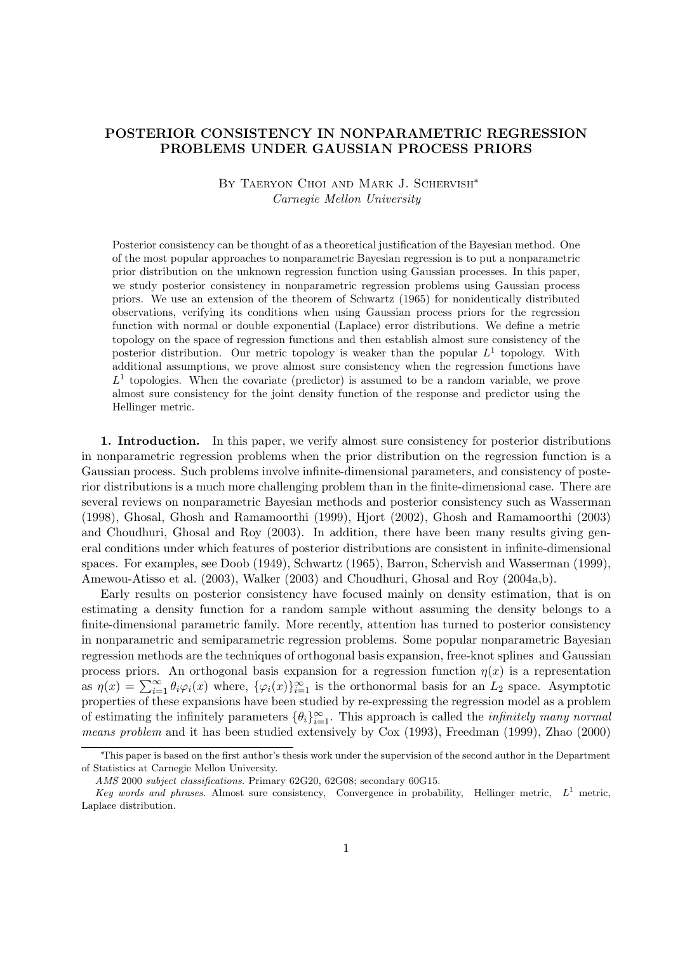## POSTERIOR CONSISTENCY IN NONPARAMETRIC REGRESSION PROBLEMS UNDER GAUSSIAN PROCESS PRIORS

BY TAERYON CHOI AND MARK J. SCHERVISH<sup>\*</sup> Carnegie Mellon University

Posterior consistency can be thought of as a theoretical justification of the Bayesian method. One of the most popular approaches to nonparametric Bayesian regression is to put a nonparametric prior distribution on the unknown regression function using Gaussian processes. In this paper, we study posterior consistency in nonparametric regression problems using Gaussian process priors. We use an extension of the theorem of Schwartz (1965) for nonidentically distributed observations, verifying its conditions when using Gaussian process priors for the regression function with normal or double exponential (Laplace) error distributions. We define a metric topology on the space of regression functions and then establish almost sure consistency of the posterior distribution. Our metric topology is weaker than the popular  $L^1$  topology. With additional assumptions, we prove almost sure consistency when the regression functions have  $L<sup>1</sup>$  topologies. When the covariate (predictor) is assumed to be a random variable, we prove almost sure consistency for the joint density function of the response and predictor using the Hellinger metric.

1. Introduction. In this paper, we verify almost sure consistency for posterior distributions in nonparametric regression problems when the prior distribution on the regression function is a Gaussian process. Such problems involve infinite-dimensional parameters, and consistency of posterior distributions is a much more challenging problem than in the finite-dimensional case. There are several reviews on nonparametric Bayesian methods and posterior consistency such as Wasserman (1998), Ghosal, Ghosh and Ramamoorthi (1999), Hjort (2002), Ghosh and Ramamoorthi (2003) and Choudhuri, Ghosal and Roy (2003). In addition, there have been many results giving general conditions under which features of posterior distributions are consistent in infinite-dimensional spaces. For examples, see Doob (1949), Schwartz (1965), Barron, Schervish and Wasserman (1999), Amewou-Atisso et al. (2003), Walker (2003) and Choudhuri, Ghosal and Roy (2004a,b).

Early results on posterior consistency have focused mainly on density estimation, that is on estimating a density function for a random sample without assuming the density belongs to a finite-dimensional parametric family. More recently, attention has turned to posterior consistency in nonparametric and semiparametric regression problems. Some popular nonparametric Bayesian regression methods are the techniques of orthogonal basis expansion, free-knot splines and Gaussian process priors. An orthogonal basis expansion for a regression function  $\eta(x)$  is a representation process priors. An orthogonal basis expansion for a regression function  $\eta(x)$  is a representation<br>as  $\eta(x) = \sum_{i=1}^{\infty} \theta_i \varphi_i(x)$  where,  $\{\varphi_i(x)\}_{i=1}^{\infty}$  is the orthonormal basis for an  $L_2$  space. Asymptotic properties of these expansions have been studied by re-expressing the regression model as a problem of estimating the infinitely parameters  $\{\theta_i\}_{i=1}^{\infty}$ . This approach is called the *infinitely many normal* means problem and it has been studied extensively by Cox (1993), Freedman (1999), Zhao (2000)

<sup>∗</sup>This paper is based on the first author's thesis work under the supervision of the second author in the Department of Statistics at Carnegie Mellon University.

AMS 2000 subject classifications. Primary 62G20, 62G08; secondary 60G15.

Key words and phrases. Almost sure consistency, Convergence in probability, Hellinger metric,  $L^1$  metric, Laplace distribution.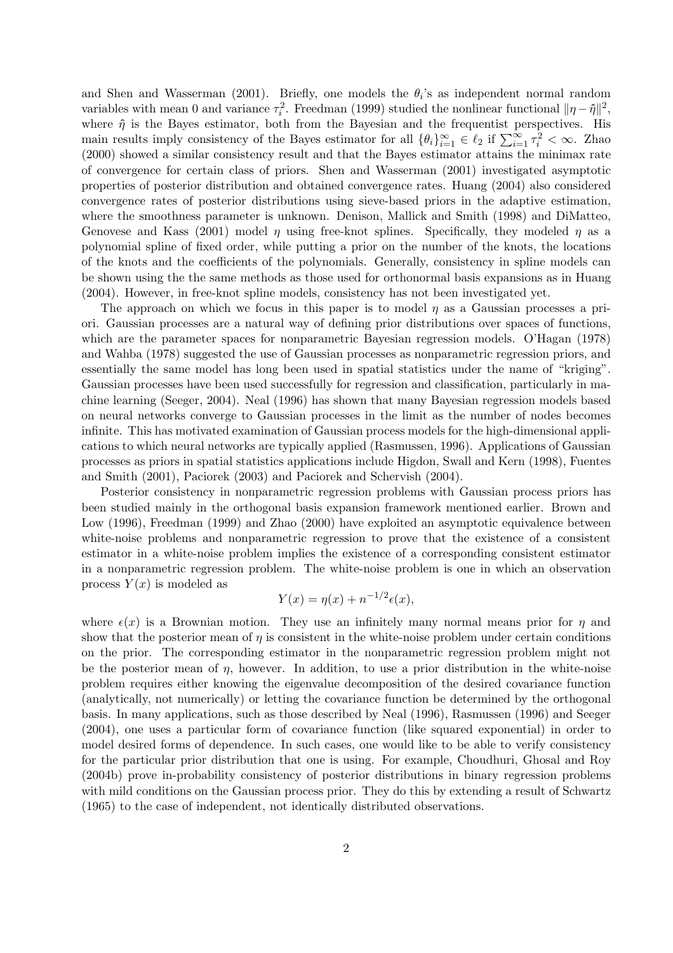and Shen and Wasserman (2001). Briefly, one models the  $\theta_i$ 's as independent normal random variables with mean 0 and variance  $\tau_i^2$ . Freedman (1999) studied the nonlinear functional  $\|\eta - \hat{\eta}\|^2$ , where  $\hat{\eta}$  is the Bayes estimator, both from the Bayesian and the frequentist perspectives. His where  $\eta$  is the Bayes estimator, both from the Bayesian and the nequentist perspectives. This main results imply consistency of the Bayes estimator for all  $\{\theta_i\}_{i=1}^{\infty} \in \ell_2$  if  $\sum_{i=1}^{\infty} \tau_i^2 < \infty$ . Zhao (2000) showed a similar consistency result and that the Bayes estimator attains the minimax rate of convergence for certain class of priors. Shen and Wasserman (2001) investigated asymptotic properties of posterior distribution and obtained convergence rates. Huang (2004) also considered convergence rates of posterior distributions using sieve-based priors in the adaptive estimation, where the smoothness parameter is unknown. Denison, Mallick and Smith (1998) and DiMatteo, Genovese and Kass (2001) model  $\eta$  using free-knot splines. Specifically, they modeled  $\eta$  as a polynomial spline of fixed order, while putting a prior on the number of the knots, the locations of the knots and the coefficients of the polynomials. Generally, consistency in spline models can be shown using the the same methods as those used for orthonormal basis expansions as in Huang (2004). However, in free-knot spline models, consistency has not been investigated yet.

The approach on which we focus in this paper is to model  $\eta$  as a Gaussian processes a priori. Gaussian processes are a natural way of defining prior distributions over spaces of functions, which are the parameter spaces for nonparametric Bayesian regression models. O'Hagan (1978) and Wahba (1978) suggested the use of Gaussian processes as nonparametric regression priors, and essentially the same model has long been used in spatial statistics under the name of "kriging". Gaussian processes have been used successfully for regression and classification, particularly in machine learning (Seeger, 2004). Neal (1996) has shown that many Bayesian regression models based on neural networks converge to Gaussian processes in the limit as the number of nodes becomes infinite. This has motivated examination of Gaussian process models for the high-dimensional applications to which neural networks are typically applied (Rasmussen, 1996). Applications of Gaussian processes as priors in spatial statistics applications include Higdon, Swall and Kern (1998), Fuentes and Smith (2001), Paciorek (2003) and Paciorek and Schervish (2004).

Posterior consistency in nonparametric regression problems with Gaussian process priors has been studied mainly in the orthogonal basis expansion framework mentioned earlier. Brown and Low (1996), Freedman (1999) and Zhao (2000) have exploited an asymptotic equivalence between white-noise problems and nonparametric regression to prove that the existence of a consistent estimator in a white-noise problem implies the existence of a corresponding consistent estimator in a nonparametric regression problem. The white-noise problem is one in which an observation process  $Y(x)$  is modeled as

$$
Y(x) = \eta(x) + n^{-1/2} \epsilon(x),
$$

where  $\epsilon(x)$  is a Brownian motion. They use an infinitely many normal means prior for  $\eta$  and show that the posterior mean of  $\eta$  is consistent in the white-noise problem under certain conditions on the prior. The corresponding estimator in the nonparametric regression problem might not be the posterior mean of  $\eta$ , however. In addition, to use a prior distribution in the white-noise problem requires either knowing the eigenvalue decomposition of the desired covariance function (analytically, not numerically) or letting the covariance function be determined by the orthogonal basis. In many applications, such as those described by Neal (1996), Rasmussen (1996) and Seeger (2004), one uses a particular form of covariance function (like squared exponential) in order to model desired forms of dependence. In such cases, one would like to be able to verify consistency for the particular prior distribution that one is using. For example, Choudhuri, Ghosal and Roy (2004b) prove in-probability consistency of posterior distributions in binary regression problems with mild conditions on the Gaussian process prior. They do this by extending a result of Schwartz (1965) to the case of independent, not identically distributed observations.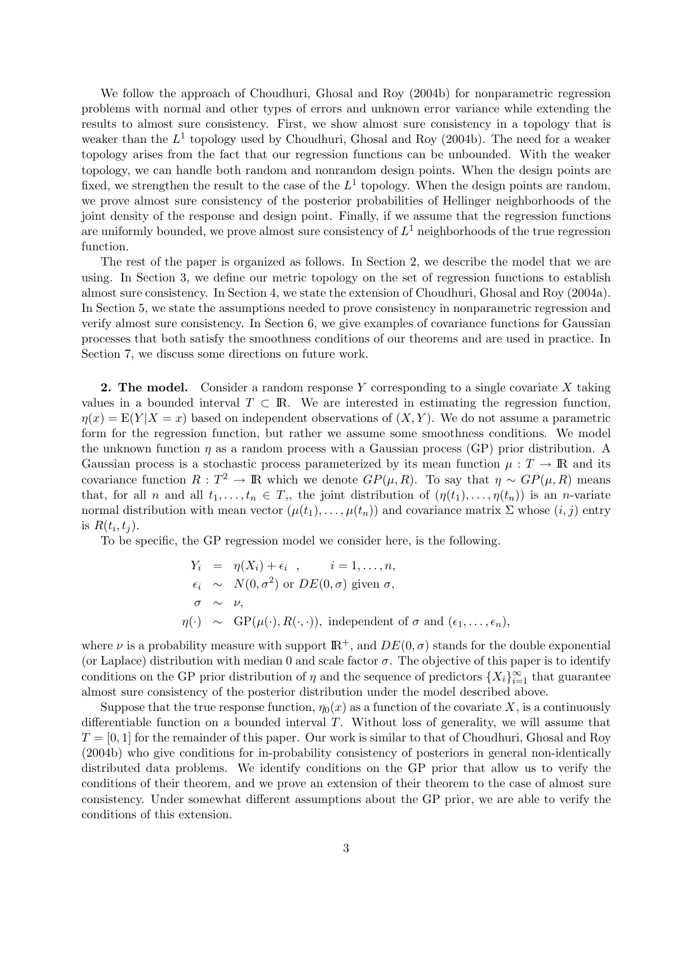We follow the approach of Choudhuri, Ghosal and Roy (2004b) for nonparametric regression problems with normal and other types of errors and unknown error variance while extending the results to almost sure consistency. First, we show almost sure consistency in a topology that is weaker than the  $L^1$  topology used by Choudhuri, Ghosal and Roy (2004b). The need for a weaker topology arises from the fact that our regression functions can be unbounded. With the weaker topology, we can handle both random and nonrandom design points. When the design points are fixed, we strengthen the result to the case of the  $L^1$  topology. When the design points are random, we prove almost sure consistency of the posterior probabilities of Hellinger neighborhoods of the joint density of the response and design point. Finally, if we assume that the regression functions are uniformly bounded, we prove almost sure consistency of  $L^1$  neighborhoods of the true regression function.

The rest of the paper is organized as follows. In Section 2, we describe the model that we are using. In Section 3, we define our metric topology on the set of regression functions to establish almost sure consistency. In Section 4, we state the extension of Choudhuri, Ghosal and Roy (2004a). In Section 5, we state the assumptions needed to prove consistency in nonparametric regression and verify almost sure consistency. In Section 6, we give examples of covariance functions for Gaussian processes that both satisfy the smoothness conditions of our theorems and are used in practice. In Section 7, we discuss some directions on future work.

**2. The model.** Consider a random response Y corresponding to a single covariate X taking values in a bounded interval  $T \subset \mathbb{R}$ . We are interested in estimating the regression function,  $\eta(x) = E(Y|X=x)$  based on independent observations of  $(X, Y)$ . We do not assume a parametric form for the regression function, but rather we assume some smoothness conditions. We model the unknown function  $\eta$  as a random process with a Gaussian process (GP) prior distribution. A Gaussian process is a stochastic process parameterized by its mean function  $\mu : T \to \mathbb{R}$  and its covariance function  $R: T^2 \to \mathbb{R}$  which we denote  $GP(\mu, R)$ . To say that  $\eta \sim GP(\mu, R)$  means that, for all n and all  $t_1, \ldots, t_n \in T$ , the joint distribution of  $(\eta(t_1), \ldots, \eta(t_n))$  is an n-variate normal distribution with mean vector  $(\mu(t_1), \ldots, \mu(t_n))$  and covariance matrix  $\Sigma$  whose  $(i, j)$  entry is  $R(t_i, t_j)$ .

To be specific, the GP regression model we consider here, is the following.

$$
Y_i = \eta(X_i) + \epsilon_i, \qquad i = 1, ..., n,
$$
  
\n
$$
\epsilon_i \sim N(0, \sigma^2) \text{ or } DE(0, \sigma) \text{ given } \sigma,
$$
  
\n
$$
\sigma \sim \nu,
$$
  
\n
$$
\eta(\cdot) \sim GP(\mu(\cdot), R(\cdot, \cdot)), \text{ independent of } \sigma \text{ and } (\epsilon_1, ..., \epsilon_n),
$$

where  $\nu$  is a probability measure with support  $\mathbb{R}^+$ , and  $DE(0, \sigma)$  stands for the double exponential (or Laplace) distribution with median 0 and scale factor  $\sigma$ . The objective of this paper is to identify conditions on the GP prior distribution of  $\eta$  and the sequence of predictors  $\{X_i\}_{i=1}^{\infty}$  that guarantee almost sure consistency of the posterior distribution under the model described above.

Suppose that the true response function,  $\eta_0(x)$  as a function of the covariate X, is a continuously differentiable function on a bounded interval  $T$ . Without loss of generality, we will assume that  $T = [0, 1]$  for the remainder of this paper. Our work is similar to that of Choudhuri, Ghosal and Roy (2004b) who give conditions for in-probability consistency of posteriors in general non-identically distributed data problems. We identify conditions on the GP prior that allow us to verify the conditions of their theorem, and we prove an extension of their theorem to the case of almost sure consistency. Under somewhat different assumptions about the GP prior, we are able to verify the conditions of this extension.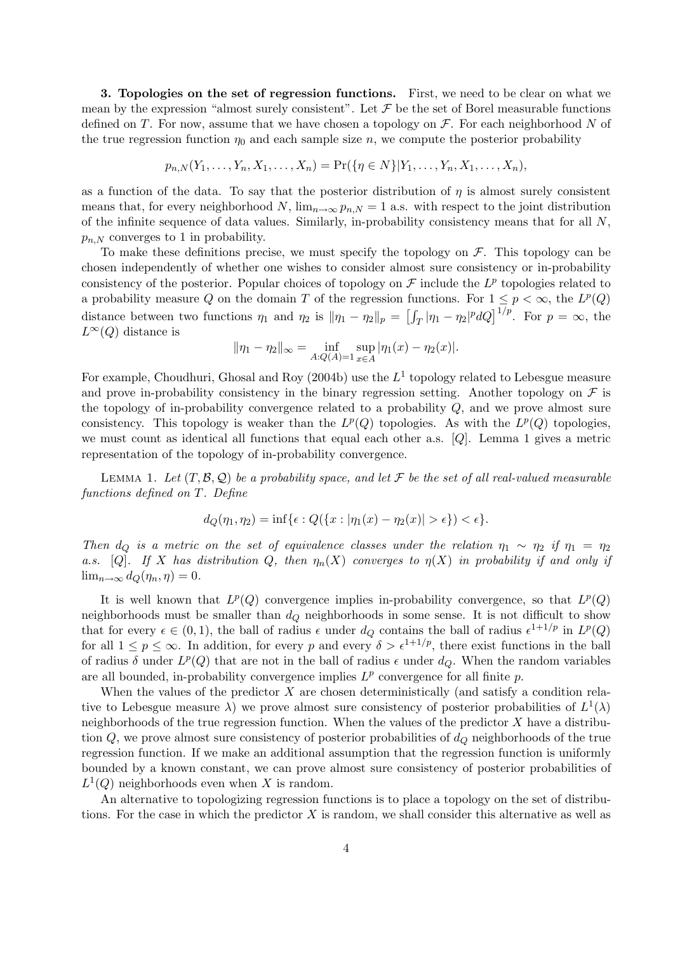3. Topologies on the set of regression functions. First, we need to be clear on what we mean by the expression "almost surely consistent". Let  $\mathcal F$  be the set of Borel measurable functions defined on T. For now, assume that we have chosen a topology on  $\mathcal F$ . For each neighborhood N of the true regression function  $\eta_0$  and each sample size n, we compute the posterior probability

$$
p_{n,N}(Y_1,\ldots,Y_n,X_1,\ldots,X_n) = \Pr(\{\eta \in N\}|Y_1,\ldots,Y_n,X_1,\ldots,X_n),
$$

as a function of the data. To say that the posterior distribution of  $\eta$  is almost surely consistent means that, for every neighborhood N,  $\lim_{n\to\infty} p_{n,N} = 1$  a.s. with respect to the joint distribution of the infinite sequence of data values. Similarly, in-probability consistency means that for all N,  $p_{n,N}$  converges to 1 in probability.

To make these definitions precise, we must specify the topology on  $\mathcal F$ . This topology can be chosen independently of whether one wishes to consider almost sure consistency or in-probability consistency of the posterior. Popular choices of topology on  $\mathcal F$  include the  $L^p$  topologies related to a probability measure Q on the domain T of the regression functions. For  $1 \leq p < \infty$ , the  $L^p(Q)$ distance between two functions  $\eta_1$  and  $\eta_2$  is  $\|\eta_1 - \eta_2\|_p =$  $\frac{10}{5}$  $\int_T |\eta_1 - \eta_2|^p dQ \big|^{1/p}$ . For  $p = \infty$ , the  $L^{\infty}(Q)$  distance is

$$
\|\eta_1 - \eta_2\|_{\infty} = \inf_{A:Q(A)=1} \sup_{x \in A} |\eta_1(x) - \eta_2(x)|.
$$

For example, Choudhuri, Ghosal and Roy (2004b) use the  $L^1$  topology related to Lebesgue measure and prove in-probability consistency in the binary regression setting. Another topology on  $\mathcal F$  is the topology of in-probability convergence related to a probability Q, and we prove almost sure consistency. This topology is weaker than the  $L^p(Q)$  topologies. As with the  $L^p(Q)$  topologies, we must count as identical all functions that equal each other a.s. [Q]. Lemma 1 gives a metric representation of the topology of in-probability convergence.

LEMMA 1. Let  $(T, \mathcal{B}, \mathcal{Q})$  be a probability space, and let  $\mathcal F$  be the set of all real-valued measurable functions defined on T. Define

$$
d_Q(\eta_1, \eta_2) = \inf \{ \epsilon : Q(\{ x : |\eta_1(x) - \eta_2(x)| > \epsilon \}) < \epsilon \}.
$$

Then  $d_{\mathcal{Q}}$  is a metric on the set of equivalence classes under the relation  $\eta_1 \sim \eta_2$  if  $\eta_1 = \eta_2$ a.s. [Q]. If X has distribution Q, then  $\eta_n(X)$  converges to  $\eta(X)$  in probability if and only if  $\lim_{n\to\infty} d_Q(\eta_n, \eta) = 0.$ 

It is well known that  $L^p(Q)$  convergence implies in-probability convergence, so that  $L^p(Q)$ neighborhoods must be smaller than  $d<sub>Q</sub>$  neighborhoods in some sense. It is not difficult to show that for every  $\epsilon \in (0,1)$ , the ball of radius  $\epsilon$  under  $d_Q$  contains the ball of radius  $\epsilon^{1+1/p}$  in  $L^p(Q)$ for all  $1 \leq p \leq \infty$ . In addition, for every p and every  $\delta > \epsilon^{1+1/p}$ , there exist functions in the ball of radius  $\delta$  under  $L^p(Q)$  that are not in the ball of radius  $\epsilon$  under  $d_Q$ . When the random variables are all bounded, in-probability convergence implies  $L^p$  convergence for all finite p.

When the values of the predictor X are chosen deterministically (and satisfy a condition relative to Lebesgue measure  $\lambda$ ) we prove almost sure consistency of posterior probabilities of  $L^1(\lambda)$ neighborhoods of the true regression function. When the values of the predictor  $X$  have a distribution  $Q$ , we prove almost sure consistency of posterior probabilities of  $d<sub>O</sub>$  neighborhoods of the true regression function. If we make an additional assumption that the regression function is uniformly bounded by a known constant, we can prove almost sure consistency of posterior probabilities of  $L^1(Q)$  neighborhoods even when X is random.

An alternative to topologizing regression functions is to place a topology on the set of distributions. For the case in which the predictor  $X$  is random, we shall consider this alternative as well as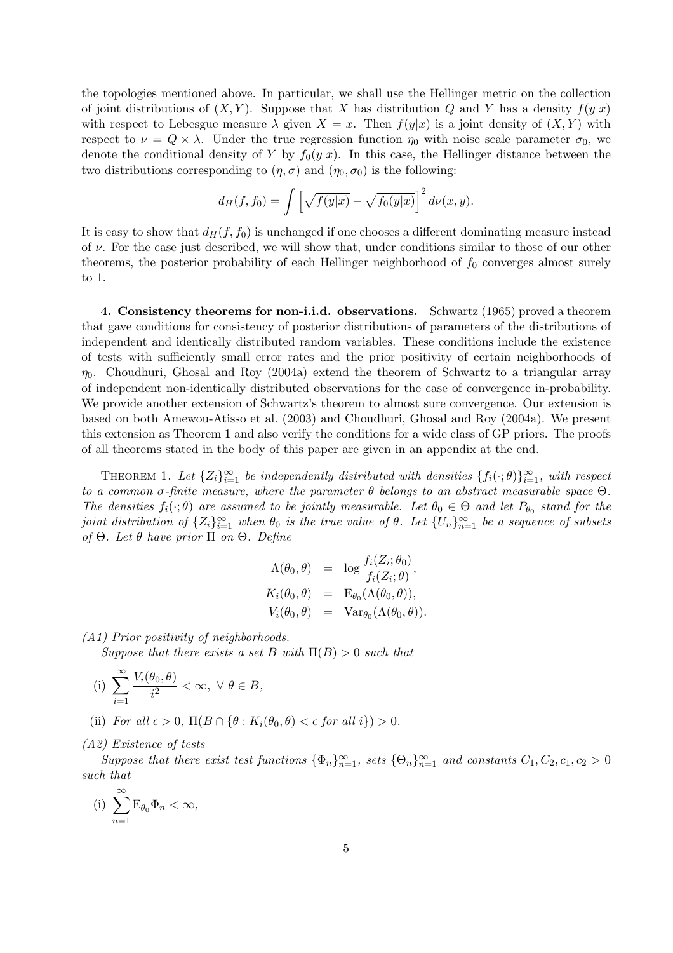the topologies mentioned above. In particular, we shall use the Hellinger metric on the collection of joint distributions of  $(X, Y)$ . Suppose that X has distribution Q and Y has a density  $f(y|x)$ with respect to Lebesgue measure  $\lambda$  given  $X = x$ . Then  $f(y|x)$  is a joint density of  $(X, Y)$  with respect to  $\nu = Q \times \lambda$ . Under the true regression function  $\eta_0$  with noise scale parameter  $\sigma_0$ , we denote the conditional density of Y by  $f_0(y|x)$ . In this case, the Hellinger distance between the two distributions corresponding to  $(\eta, \sigma)$  and  $(\eta_0, \sigma_0)$  is the following:

$$
d_H(f, f_0) = \int \left[ \sqrt{f(y|x)} - \sqrt{f_0(y|x)} \right]^2 d\nu(x, y).
$$

It is easy to show that  $d_H(f, f_0)$  is unchanged if one chooses a different dominating measure instead of  $\nu$ . For the case just described, we will show that, under conditions similar to those of our other theorems, the posterior probability of each Hellinger neighborhood of  $f_0$  converges almost surely to 1.

4. Consistency theorems for non-i.i.d. observations. Schwartz (1965) proved a theorem that gave conditions for consistency of posterior distributions of parameters of the distributions of independent and identically distributed random variables. These conditions include the existence of tests with sufficiently small error rates and the prior positivity of certain neighborhoods of  $\eta_0$ . Choudhuri, Ghosal and Roy (2004a) extend the theorem of Schwartz to a triangular array of independent non-identically distributed observations for the case of convergence in-probability. We provide another extension of Schwartz's theorem to almost sure convergence. Our extension is based on both Amewou-Atisso et al. (2003) and Choudhuri, Ghosal and Roy (2004a). We present this extension as Theorem 1 and also verify the conditions for a wide class of GP priors. The proofs of all theorems stated in the body of this paper are given in an appendix at the end.

THEOREM 1. Let  $\{Z_i\}_{i=1}^{\infty}$  be independently distributed with densities  $\{f_i(\cdot;\theta)\}_{i=1}^{\infty}$ , with respect to a common  $\sigma$ -finite measure, where the parameter  $\theta$  belongs to an abstract measurable space  $\Theta$ . The densities  $f_i(\cdot; \theta)$  are assumed to be jointly measurable. Let  $\theta_0 \in \Theta$  and let  $P_{\theta_0}$  stand for the joint distribution of  $\{Z_i\}_{i=1}^{\infty}$  when  $\theta_0$  is the true value of  $\theta$ . Let  $\{U_n\}_{n=1}^{\infty}$  be a sequence of subsets of Θ. Let θ have prior Π on Θ. Define

$$
\Lambda(\theta_0, \theta) = \log \frac{f_i(Z_i; \theta_0)}{f_i(Z_i; \theta)},
$$
  
\n
$$
K_i(\theta_0, \theta) = \mathcal{E}_{\theta_0}(\Lambda(\theta_0, \theta)),
$$
  
\n
$$
V_i(\theta_0, \theta) = \text{Var}_{\theta_0}(\Lambda(\theta_0, \theta)).
$$

(A1) Prior positivity of neighborhoods.

Suppose that there exists a set B with  $\Pi(B) > 0$  such that

(i) 
$$
\sum_{i=1}^{\infty} \frac{V_i(\theta_0, \theta)}{i^2} < \infty, \ \forall \ \theta \in B,
$$

(ii) For all  $\epsilon > 0$ ,  $\Pi(B \cap {\theta : K_i(\theta_0, \theta) < \epsilon \text{ for all } i}) > 0$ .

(A2) Existence of tests

Suppose that there exist test functions  $\{\Phi_n\}_{n=1}^{\infty}$ , sets  $\{\Theta_n\}_{n=1}^{\infty}$  and constants  $C_1, C_2, c_1, c_2 > 0$ such that

(i) 
$$
\sum_{n=1}^{\infty} \mathcal{E}_{\theta_0} \Phi_n < \infty,
$$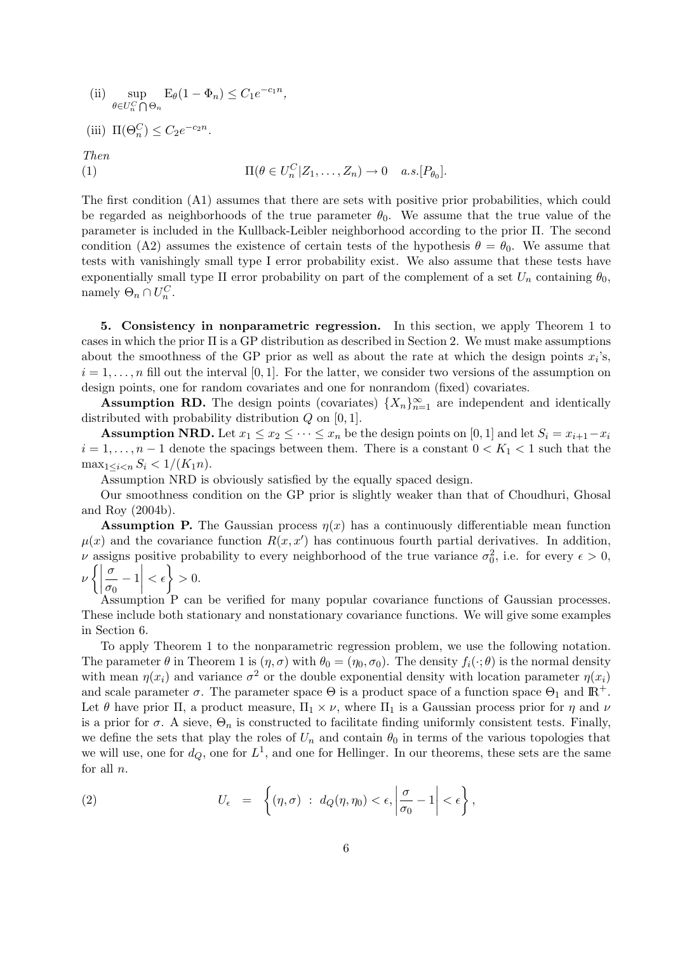(ii) 
$$
\sup_{\theta \in U_n^C \bigcap \Theta_n} \mathcal{E}_{\theta}(1 - \Phi_n) \leq C_1 e^{-c_1 n},
$$

(iii)  $\Pi(\Theta_n^C) \leq C_2 e^{-c_2 n}$ .

Then

(1) 
$$
\Pi(\theta \in U_n^C | Z_1, \ldots, Z_n) \to 0 \quad a.s.[P_{\theta_0}].
$$

The first condition (A1) assumes that there are sets with positive prior probabilities, which could be regarded as neighborhoods of the true parameter  $\theta_0$ . We assume that the true value of the parameter is included in the Kullback-Leibler neighborhood according to the prior Π. The second condition (A2) assumes the existence of certain tests of the hypothesis  $\theta = \theta_0$ . We assume that tests with vanishingly small type I error probability exist. We also assume that these tests have exponentially small type II error probability on part of the complement of a set  $U_n$  containing  $\theta_0$ , namely  $\Theta_n \cap U_n^C$ .

5. Consistency in nonparametric regression. In this section, we apply Theorem 1 to cases in which the prior  $\Pi$  is a GP distribution as described in Section 2. We must make assumptions about the smoothness of the GP prior as well as about the rate at which the design points  $x_i$ 's,  $i = 1, \ldots, n$  fill out the interval [0, 1]. For the latter, we consider two versions of the assumption on design points, one for random covariates and one for nonrandom (fixed) covariates.

Assumption RD. The design points (covariates)  $\{X_n\}_{n=1}^{\infty}$  are independent and identically distributed with probability distribution  $Q$  on  $[0, 1]$ .

**Assumption NRD.** Let  $x_1 \le x_2 \le \cdots \le x_n$  be the design points on [0, 1] and let  $S_i = x_{i+1} - x_i$  $i = 1, \ldots, n-1$  denote the spacings between them. There is a constant  $0 < K_1 < 1$  such that the  $\max_{1 \leq i \leq n} S_i \leq 1/(K_1 n).$ 

Assumption NRD is obviously satisfied by the equally spaced design.

Our smoothness condition on the GP prior is slightly weaker than that of Choudhuri, Ghosal and Roy (2004b).

**Assumption P.** The Gaussian process  $\eta(x)$  has a continuously differentiable mean function  $\mu(x)$  and the covariance function  $R(x, x')$  has continuous fourth partial derivatives. In addition, *ν* assigns positive probability to every neighborhood of the true variance  $\sigma_0^2$ , i.e. for every  $\epsilon > 0$ ,  $\nu$   $\left\{ \left| \frac{\sigma}{\epsilon} - 1 \right| < \epsilon \right\} > 0$ .

$$
\nu\left\{\left|\frac{\sigma}{\sigma_0} - 1\right| < \epsilon\right\} > 0.
$$
\n
$$
\Lambda \text{sumption Po} \geq 0.
$$

Assumption P can be verified for many popular covariance functions of Gaussian processes. These include both stationary and nonstationary covariance functions. We will give some examples in Section 6.

To apply Theorem 1 to the nonparametric regression problem, we use the following notation. The parameter  $\theta$  in Theorem 1 is  $(\eta, \sigma)$  with  $\theta_0 = (\eta_0, \sigma_0)$ . The density  $f_i(\cdot; \theta)$  is the normal density with mean  $\eta(x_i)$  and variance  $\sigma^2$  or the double exponential density with location parameter  $\eta(x_i)$ and scale parameter  $\sigma$ . The parameter space  $\Theta$  is a product space of a function space  $\Theta_1$  and  $\mathbb{R}^+$ . Let  $\theta$  have prior  $\Pi$ , a product measure,  $\Pi_1 \times \nu$ , where  $\Pi_1$  is a Gaussian process prior for  $\eta$  and  $\nu$ is a prior for  $\sigma$ . A sieve,  $\Theta_n$  is constructed to facilitate finding uniformly consistent tests. Finally, we define the sets that play the roles of  $U_n$  and contain  $\theta_0$  in terms of the various topologies that we will use, one for  $d_Q$ , one for  $L^1$ , and one for Hellinger. In our theorems, these sets are the same for all  $n$ .

(2) 
$$
U_{\epsilon} = \left\{ (\eta, \sigma) : d_Q(\eta, \eta_0) < \epsilon, \left| \frac{\sigma}{\sigma_0} - 1 \right| < \epsilon \right\},\
$$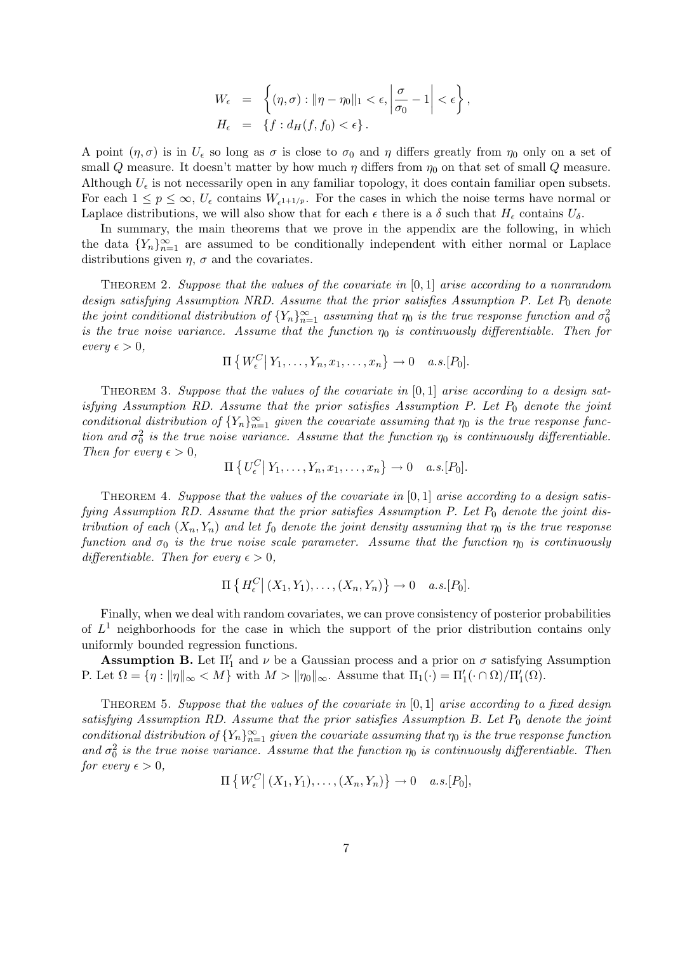$$
W_{\epsilon} = \left\{ (\eta, \sigma) : \|\eta - \eta_0\|_1 < \epsilon, \left|\frac{\sigma}{\sigma_0} - 1\right| < \epsilon \right\},
$$
  

$$
H_{\epsilon} = \left\{ f : d_H(f, f_0) < \epsilon \right\}.
$$

A point  $(\eta, \sigma)$  is in  $U_{\epsilon}$  so long as  $\sigma$  is close to  $\sigma_0$  and  $\eta$  differs greatly from  $\eta_0$  only on a set of small Q measure. It doesn't matter by how much  $\eta$  differs from  $\eta_0$  on that set of small Q measure. Although  $U_{\epsilon}$  is not necessarily open in any familiar topology, it does contain familiar open subsets. For each  $1 \leq p \leq \infty$ ,  $U_{\epsilon}$  contains  $W_{\epsilon^{1+1/p}}$ . For the cases in which the noise terms have normal or Laplace distributions, we will also show that for each  $\epsilon$  there is a  $\delta$  such that  $H_{\epsilon}$  contains  $U_{\delta}$ .

In summary, the main theorems that we prove in the appendix are the following, in which the data  ${Y_n}_{n=1}^{\infty}$  are assumed to be conditionally independent with either normal or Laplace distributions given  $\eta$ ,  $\sigma$  and the covariates.

THEOREM 2. Suppose that the values of the covariate in  $[0,1]$  arise according to a nonrandom design satisfying Assumption NRD. Assume that the prior satisfies Assumption P. Let  $P_0$  denote the joint conditional distribution of  $\{Y_n\}_{n=1}^{\infty}$  assuming that  $\eta_0$  is the true response function and  $\sigma_0^2$ is the true noise variance. Assume that the function  $\eta_0$  is continuously differentiable. Then for  $every \epsilon > 0,$ ©  $\overline{a}$ ª

$$
\Pi\left\{W_{\epsilon}^C|Y_1,\ldots,Y_n,x_1,\ldots,x_n\right\}\to 0 \quad a.s.[P_0].
$$

THEOREM 3. Suppose that the values of the covariate in  $[0, 1]$  arise according to a design satisfying Assumption RD. Assume that the prior satisfies Assumption P. Let  $P_0$  denote the joint conditional distribution of  ${Y_n}_{n=1}^{\infty}$  given the covariate assuming that  $\eta_0$  is the true response function and  $\sigma_0^2$  is the true noise variance. Assume that the function  $\eta_0$  is continuously differentiable. Then for every  $\epsilon > 0$ , ©  $\overline{a}$ ª

$$
\Pi\left\{U_{\epsilon}^C|Y_1,\ldots,Y_n,x_1,\ldots,x_n\right\}\to 0 \quad a.s.[P_0].
$$

THEOREM 4. Suppose that the values of the covariate in  $[0,1]$  arise according to a design satisfying Assumption RD. Assume that the prior satisfies Assumption P. Let  $P_0$  denote the joint distribution of each  $(X_n, Y_n)$  and let  $f_0$  denote the joint density assuming that  $\eta_0$  is the true response function and  $\sigma_0$  is the true noise scale parameter. Assume that the function  $\eta_0$  is continuously differentiable. Then for every  $\epsilon > 0$ ,

$$
\Pi\left\{H_{\epsilon}^C \big| (X_1,Y_1),\ldots,(X_n,Y_n)\right\} \to 0 \quad a.s.[P_0].
$$

Finally, when we deal with random covariates, we can prove consistency of posterior probabilities of  $L<sup>1</sup>$  neighborhoods for the case in which the support of the prior distribution contains only uniformly bounded regression functions.

**Assumption B.** Let  $\Pi'_1$  and  $\nu$  be a Gaussian process and a prior on  $\sigma$  satisfying Assumption P. Let  $\Omega = \{ \eta : ||\eta||_{\infty} < M \}$  with  $M > ||\eta_0||_{\infty}$ . Assume that  $\Pi_1(\cdot) = \Pi'_1(\cdot \cap \Omega)/\Pi'_1(\Omega)$ .

THEOREM 5. Suppose that the values of the covariate in  $[0,1]$  arise according to a fixed design satisfying Assumption RD. Assume that the prior satisfies Assumption B. Let  $P_0$  denote the joint conditional distribution of  ${Y_n}_{n=1}^{\infty}$  given the covariate assuming that  $\eta_0$  is the true response function and  $\sigma_0^2$  is the true noise variance. Assume that the function  $\eta_0$  is continuously differentiable. Then for every  $\epsilon > 0$ ,

Π  $\left\{W_{\epsilon}^C\right\}$  $|(X_1,Y_1), \ldots, (X_n,Y_n)|$  $\rightarrow 0 \quad a.s.[P_0],$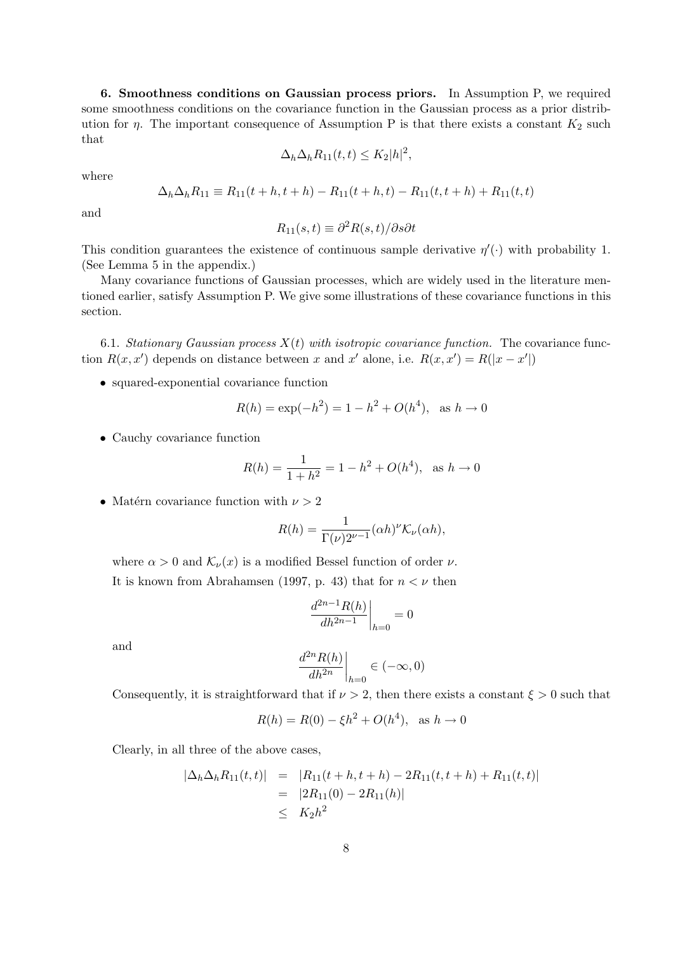6. Smoothness conditions on Gaussian process priors. In Assumption P, we required some smoothness conditions on the covariance function in the Gaussian process as a prior distribution for  $\eta$ . The important consequence of Assumption P is that there exists a constant  $K_2$  such that

$$
\Delta_h \Delta_h R_{11}(t, t) \le K_2 |h|^2,
$$

where

$$
\Delta_h \Delta_h R_{11} \equiv R_{11}(t+h, t+h) - R_{11}(t+h, t) - R_{11}(t, t+h) + R_{11}(t, t)
$$

and

$$
R_{11}(s,t) \equiv \partial^2 R(s,t)/\partial s \partial t
$$

This condition guarantees the existence of continuous sample derivative  $\eta'(\cdot)$  with probability 1. (See Lemma 5 in the appendix.)

Many covariance functions of Gaussian processes, which are widely used in the literature mentioned earlier, satisfy Assumption P. We give some illustrations of these covariance functions in this section.

6.1. Stationary Gaussian process  $X(t)$  with isotropic covariance function. The covariance function  $R(x, x')$  depends on distance between x and x' alone, i.e.  $R(x, x') = R(|x - x'|)$ 

• squared-exponential covariance function

$$
R(h) = \exp(-h^2) = 1 - h^2 + O(h^4), \text{ as } h \to 0
$$

• Cauchy covariance function

$$
R(h) = \frac{1}{1+h^2} = 1 - h^2 + O(h^4), \text{ as } h \to 0
$$

• Matérn covariance function with  $\nu > 2$ 

$$
R(h) = \frac{1}{\Gamma(\nu)2^{\nu-1}} (\alpha h)^{\nu} \mathcal{K}_{\nu}(\alpha h),
$$

where  $\alpha > 0$  and  $\mathcal{K}_{\nu}(x)$  is a modified Bessel function of order  $\nu$ .

It is known from Abrahamsen (1997, p. 43) that for  $n < \nu$  then

$$
\frac{d^{2n-1}R(h)}{dh^{2n-1}}\bigg|_{h=0} = 0
$$

and

$$
\left.\frac{d^{2n}R(h)}{dh^{2n}}\right|_{h=0}\in(-\infty,0)
$$

Consequently, it is straightforward that if  $\nu > 2$ , then there exists a constant  $\xi > 0$  such that

$$
R(h) = R(0) - \xi h^2 + O(h^4), \text{ as } h \to 0
$$

Clearly, in all three of the above cases,

$$
|\Delta_h \Delta_h R_{11}(t, t)| = |R_{11}(t + h, t + h) - 2R_{11}(t, t + h) + R_{11}(t, t)|
$$
  
=  $|2R_{11}(0) - 2R_{11}(h)|$   
 $\leq K_2 h^2$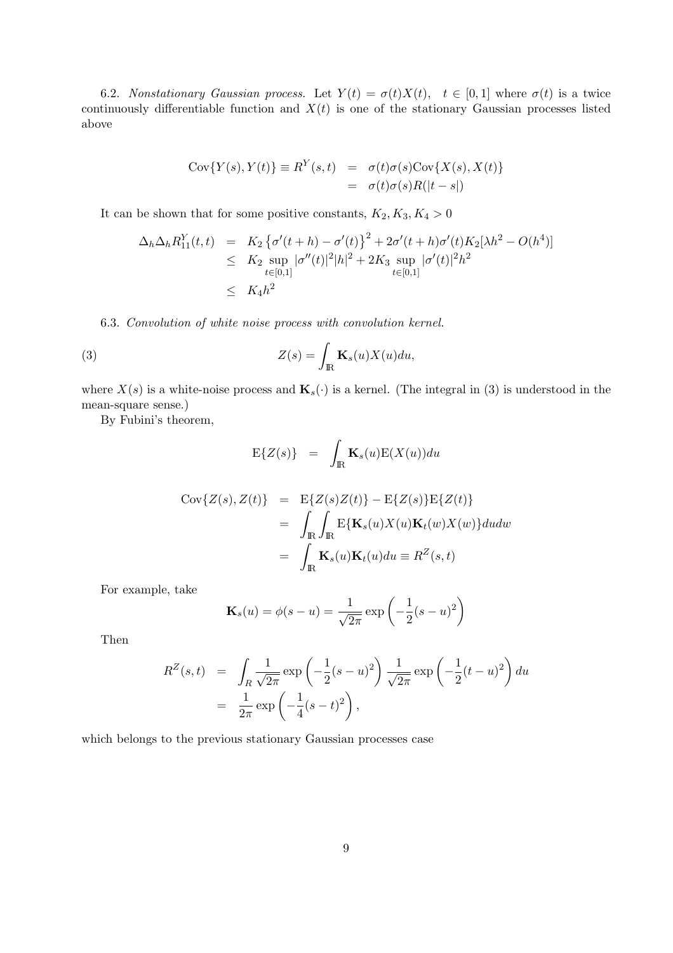6.2. Nonstationary Gaussian process. Let  $Y(t) = \sigma(t)X(t)$ ,  $t \in [0,1]$  where  $\sigma(t)$  is a twice continuously differentiable function and  $X(t)$  is one of the stationary Gaussian processes listed above

$$
Cov{Y(s), Y(t)} \equiv R^{Y}(s,t) = \sigma(t)\sigma(s)Cov{X(s), X(t)}
$$
  
=  $\sigma(t)\sigma(s)R(|t-s|)$ 

It can be shown that for some positive constants,  $K_2, K_3, K_4 > 0$ 

$$
\Delta_h \Delta_h R_{11}^Y(t,t) = K_2 \left\{ \sigma'(t+h) - \sigma'(t) \right\}^2 + 2\sigma'(t+h)\sigma'(t)K_2[\lambda h^2 - O(h^4)]
$$
  
\n
$$
\leq K_2 \sup_{t \in [0,1]} |\sigma''(t)|^2 |h|^2 + 2K_3 \sup_{t \in [0,1]} |\sigma'(t)|^2 h^2
$$
  
\n
$$
\leq K_4 h^2
$$

6.3. Convolution of white noise process with convolution kernel.

(3) 
$$
Z(s) = \int_{\mathbb{R}} \mathbf{K}_s(u) X(u) du,
$$

where  $X(s)$  is a white-noise process and  $\mathbf{K}_s(\cdot)$  is a kernel. (The integral in (3) is understood in the mean-square sense.)

By Fubini's theorem,

$$
E\{Z(s)\} = \int_{\mathbb{R}} \mathbf{K}_s(u) E(X(u)) du
$$

$$
Cov{Z(s), Z(t)} = E{Z(s)Z(t)} - E{Z(s)}E{Z(t)}
$$
  
= 
$$
\int_{\mathbb{R}} \int_{\mathbb{R}} E{\mathbf{K}_s(u)X(u)\mathbf{K}_t(w)X(w)}dudw
$$
  
= 
$$
\int_{\mathbb{R}} \mathbf{K}_s(u)\mathbf{K}_t(u)du \equiv R^Z(s, t)
$$

For example, take

$$
\mathbf{K}_s(u) = \phi(s - u) = \frac{1}{\sqrt{2\pi}} \exp\left(-\frac{1}{2}(s - u)^2\right)
$$

Then

$$
R^{Z}(s,t) = \int_{R} \frac{1}{\sqrt{2\pi}} \exp\left(-\frac{1}{2}(s-u)^{2}\right) \frac{1}{\sqrt{2\pi}} \exp\left(-\frac{1}{2}(t-u)^{2}\right) du
$$
  
=  $\frac{1}{2\pi} \exp\left(-\frac{1}{4}(s-t)^{2}\right),$ 

which belongs to the previous stationary Gaussian processes case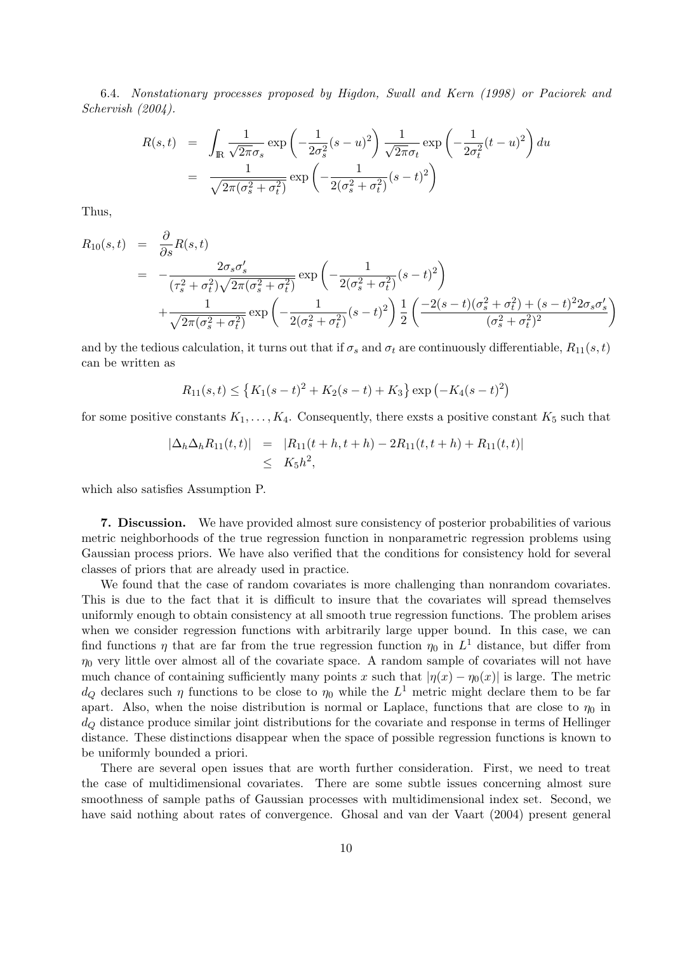6.4. Nonstationary processes proposed by Higdon, Swall and Kern (1998) or Paciorek and Schervish (2004).

$$
R(s,t) = \int_{\mathbb{R}} \frac{1}{\sqrt{2\pi}\sigma_s} \exp\left(-\frac{1}{2\sigma_s^2}(s-u)^2\right) \frac{1}{\sqrt{2\pi}\sigma_t} \exp\left(-\frac{1}{2\sigma_t^2}(t-u)^2\right) du
$$
  
= 
$$
\frac{1}{\sqrt{2\pi}(\sigma_s^2 + \sigma_t^2)} \exp\left(-\frac{1}{2(\sigma_s^2 + \sigma_t^2)}(s-t)^2\right)
$$

Thus,

$$
R_{10}(s,t) = \frac{\partial}{\partial s} R(s,t)
$$
  
= 
$$
-\frac{2\sigma_s \sigma_s'}{(\tau_s^2 + \sigma_t^2)\sqrt{2\pi(\sigma_s^2 + \sigma_t^2)}} \exp\left(-\frac{1}{2(\sigma_s^2 + \sigma_t^2)}(s-t)^2\right)
$$
  
+ 
$$
\frac{1}{\sqrt{2\pi(\sigma_s^2 + \sigma_t^2)}} \exp\left(-\frac{1}{2(\sigma_s^2 + \sigma_t^2)}(s-t)^2\right) \frac{1}{2} \left(\frac{-2(s-t)(\sigma_s^2 + \sigma_t^2) + (s-t)^2 2\sigma_s \sigma_s'}{(\sigma_s^2 + \sigma_t^2)^2}\right)
$$

and by the tedious calculation, it turns out that if  $\sigma_s$  and  $\sigma_t$  are continuously differentiable,  $R_{11}(s,t)$ can be written as

$$
R_{11}(s,t) \le \left\{ K_1(s-t)^2 + K_2(s-t) + K_3 \right\} \exp\left(-K_4(s-t)^2\right)
$$

for some positive constants  $K_1, \ldots, K_4$ . Consequently, there exsts a positive constant  $K_5$  such that

$$
|\Delta_h \Delta_h R_{11}(t, t)| = |R_{11}(t + h, t + h) - 2R_{11}(t, t + h) + R_{11}(t, t)|
$$
  
\$\leq K\_5 h^2\$,

which also satisfies Assumption P.

7. Discussion. We have provided almost sure consistency of posterior probabilities of various metric neighborhoods of the true regression function in nonparametric regression problems using Gaussian process priors. We have also verified that the conditions for consistency hold for several classes of priors that are already used in practice.

We found that the case of random covariates is more challenging than nonrandom covariates. This is due to the fact that it is difficult to insure that the covariates will spread themselves uniformly enough to obtain consistency at all smooth true regression functions. The problem arises when we consider regression functions with arbitrarily large upper bound. In this case, we can find functions  $\eta$  that are far from the true regression function  $\eta_0$  in  $L^1$  distance, but differ from  $\eta_0$  very little over almost all of the covariate space. A random sample of covariates will not have much chance of containing sufficiently many points x such that  $|\eta(x) - \eta_0(x)|$  is large. The metric  $d_Q$  declares such  $\eta$  functions to be close to  $\eta_0$  while the  $L^1$  metric might declare them to be far apart. Also, when the noise distribution is normal or Laplace, functions that are close to  $\eta_0$  in  $d<sub>Q</sub>$  distance produce similar joint distributions for the covariate and response in terms of Hellinger distance. These distinctions disappear when the space of possible regression functions is known to be uniformly bounded a priori.

There are several open issues that are worth further consideration. First, we need to treat the case of multidimensional covariates. There are some subtle issues concerning almost sure smoothness of sample paths of Gaussian processes with multidimensional index set. Second, we have said nothing about rates of convergence. Ghosal and van der Vaart (2004) present general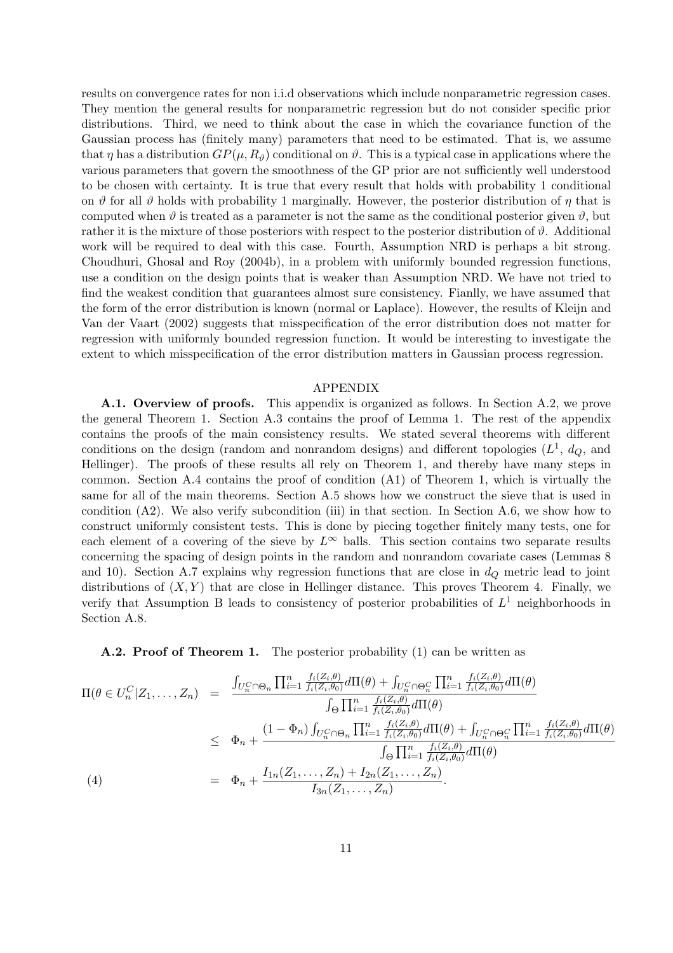results on convergence rates for non i.i.d observations which include nonparametric regression cases. They mention the general results for nonparametric regression but do not consider specific prior distributions. Third, we need to think about the case in which the covariance function of the Gaussian process has (finitely many) parameters that need to be estimated. That is, we assume that  $\eta$  has a distribution  $GP(\mu, R_{\theta})$  conditional on  $\vartheta$ . This is a typical case in applications where the various parameters that govern the smoothness of the GP prior are not sufficiently well understood to be chosen with certainty. It is true that every result that holds with probability 1 conditional on  $\vartheta$  for all  $\vartheta$  holds with probability 1 marginally. However, the posterior distribution of  $\eta$  that is computed when  $\vartheta$  is treated as a parameter is not the same as the conditional posterior given  $\vartheta$ , but rather it is the mixture of those posteriors with respect to the posterior distribution of  $\vartheta$ . Additional work will be required to deal with this case. Fourth, Assumption NRD is perhaps a bit strong. Choudhuri, Ghosal and Roy (2004b), in a problem with uniformly bounded regression functions, use a condition on the design points that is weaker than Assumption NRD. We have not tried to find the weakest condition that guarantees almost sure consistency. Fianlly, we have assumed that the form of the error distribution is known (normal or Laplace). However, the results of Kleijn and Van der Vaart (2002) suggests that misspecification of the error distribution does not matter for regression with uniformly bounded regression function. It would be interesting to investigate the extent to which misspecification of the error distribution matters in Gaussian process regression.

## APPENDIX

A.1. Overview of proofs. This appendix is organized as follows. In Section A.2, we prove the general Theorem 1. Section A.3 contains the proof of Lemma 1. The rest of the appendix contains the proofs of the main consistency results. We stated several theorems with different conditions on the design (random and nonrandom designs) and different topologies  $(L<sup>1</sup>, d<sub>Q</sub>,$  and Hellinger). The proofs of these results all rely on Theorem 1, and thereby have many steps in common. Section A.4 contains the proof of condition (A1) of Theorem 1, which is virtually the same for all of the main theorems. Section A.5 shows how we construct the sieve that is used in condition (A2). We also verify subcondition (iii) in that section. In Section A.6, we show how to construct uniformly consistent tests. This is done by piecing together finitely many tests, one for each element of a covering of the sieve by  $L^{\infty}$  balls. This section contains two separate results concerning the spacing of design points in the random and nonrandom covariate cases (Lemmas 8 and 10). Section A.7 explains why regression functions that are close in  $d<sub>Q</sub>$  metric lead to joint distributions of  $(X, Y)$  that are close in Hellinger distance. This proves Theorem 4. Finally, we verify that Assumption B leads to consistency of posterior probabilities of  $L<sup>1</sup>$  neighborhoods in Section A.8.

A.2. Proof of Theorem 1. The posterior probability (1) can be written as

$$
\Pi(\theta \in U_n^C | Z_1, ..., Z_n) = \frac{\int_{U_n^C \cap \Theta_n} \prod_{i=1}^n \frac{f_i(Z_i, \theta)}{f_i(Z_i, \theta_0)} d\Pi(\theta) + \int_{U_n^C \cap \Theta_n^C} \prod_{i=1}^n \frac{f_i(Z_i, \theta)}{f_i(Z_i, \theta_0)} d\Pi(\theta)}{\int_{\Theta} \prod_{i=1}^n \frac{f_i(Z_i, \theta)}{f_i(Z_i, \theta_0)} d\Pi(\theta)}
$$
\n
$$
\leq \Phi_n + \frac{(1 - \Phi_n) \int_{U_n^C \cap \Theta_n} \prod_{i=1}^n \frac{f_i(Z_i, \theta)}{f_i(Z_i, \theta_0)} d\Pi(\theta) + \int_{U_n^C \cap \Theta_n^C} \prod_{i=1}^n \frac{f_i(Z_i, \theta)}{f_i(Z_i, \theta_0)} d\Pi(\theta)}{\int_{\Theta} \prod_{i=1}^n \frac{f_i(Z_i, \theta)}{f_i(Z_i, \theta_0)} d\Pi(\theta)}
$$
\n(4)\n
$$
= \Phi_n + \frac{I_{1n}(Z_1, ..., Z_n) + I_{2n}(Z_1, ..., Z_n)}{I_{3n}(Z_1, ..., Z_n)}.
$$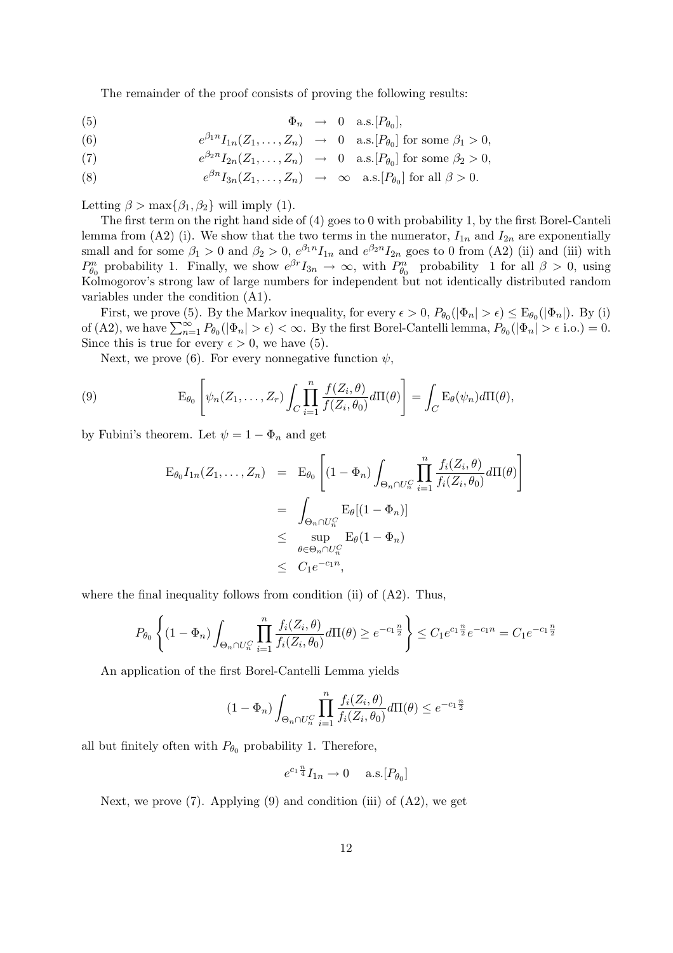The remainder of the proof consists of proving the following results:

$$
\Phi_n \rightarrow 0 \quad \text{a.s.} [P_{\theta_0}],
$$

(6) 
$$
e^{\beta_1 n} I_{1n}(Z_1,\ldots,Z_n) \rightarrow 0 \text{ a.s.}[P_{\theta_0}] \text{ for some } \beta_1 > 0,
$$

(7) 
$$
e^{\beta_2 n} I_{2n}(Z_1,\ldots,Z_n) \rightarrow 0 \text{ a.s.}[P_{\theta_0}] \text{ for some } \beta_2 > 0,
$$

(8) 
$$
e^{\beta n} I_{3n}(Z_1,\ldots,Z_n) \rightarrow \infty \text{ a.s.}[P_{\theta_0}] \text{ for all } \beta > 0.
$$

Letting  $\beta > \max{\{\beta_1, \beta_2\}}$  will imply (1).

The first term on the right hand side of (4) goes to 0 with probability 1, by the first Borel-Canteli lemma from (A2) (i). We show that the two terms in the numerator,  $I_{1n}$  and  $I_{2n}$  are exponentially small and for some  $\beta_1 > 0$  and  $\beta_2 > 0$ ,  $e^{\beta_1 n} I_{1n}$  and  $e^{\beta_2 n} I_{2n}$  goes to 0 from (A2) (ii) and (iii) with  $P_{\theta_0}^n$  probability 1. Finally, we show  $e^{\beta r} I_{3n} \to \infty$ , with  $P_{\theta_0}^n$  probability 1 for all  $\beta > 0$ , using Kolmogorov's strong law of large numbers for independent but not identically distributed random variables under the condition (A1).

First, we prove (5). By the Markov inequality, for every  $\epsilon > 0$ ,  $P_{\theta_0}(|\Phi_n| > \epsilon) \leq E_{\theta_0}(|\Phi_n|)$ . By (i) First, we prove (5). By the markov mequanty, for every  $\epsilon > 0$ ,  $F_{\theta_0}(\vert \Psi_n \vert > \epsilon) \leq E_{\theta_0}(\vert \Psi_n \vert)$ . By (1) of  $(A2)$ , we have  $\sum_{n=1}^{\infty} P_{\theta_0}(\vert \Phi_n \vert > \epsilon) < \infty$ . By the first Borel-Cantelli lemma,  $P_{\theta_0}(\vert \Phi_n \vert > \epsilon \$ Since this is true for every  $\epsilon > 0$ , we have (5).

Next, we prove (6). For every nonnegative function  $\psi$ ,

(9) 
$$
E_{\theta_0}\left[\psi_n(Z_1,\ldots,Z_r)\int_C \prod_{i=1}^n \frac{f(Z_i,\theta)}{f(Z_i,\theta_0)}d\Pi(\theta)\right] = \int_C E_{\theta}(\psi_n)d\Pi(\theta),
$$

by Fubini's theorem. Let  $\psi = 1 - \Phi_n$  and get

$$
\begin{array}{rcl}\n\mathcal{E}_{\theta_0} I_{1n}(Z_1, \ldots, Z_n) & = & \mathcal{E}_{\theta_0} \left[ (1 - \Phi_n) \int_{\Theta_n \cap U_n^C} \prod_{i=1}^n \frac{f_i(Z_i, \theta)}{f_i(Z_i, \theta_0)} d\Pi(\theta) \right] \\
& = & \int_{\Theta_n \cap U_n^C} \mathcal{E}_{\theta} [(1 - \Phi_n)] \\
& \leq & \sup_{\theta \in \Theta_n \cap U_n^C} \mathcal{E}_{\theta} (1 - \Phi_n) \\
& \leq & C_1 e^{-c_1 n},\n\end{array}
$$

where the final inequality follows from condition (ii) of  $(A2)$ . Thus,

$$
P_{\theta_0} \left\{ (1 - \Phi_n) \int_{\Theta_n \cap U_n^C} \prod_{i=1}^n \frac{f_i(Z_i, \theta)}{f_i(Z_i, \theta_0)} d\Pi(\theta) \ge e^{-c_1 \frac{n}{2}} \right\} \le C_1 e^{c_1 \frac{n}{2}} e^{-c_1 n} = C_1 e^{-c_1 \frac{n}{2}}
$$

An application of the first Borel-Cantelli Lemma yields

$$
(1 - \Phi_n) \int_{\Theta_n \cap U_n^C} \prod_{i=1}^n \frac{f_i(Z_i, \theta)}{f_i(Z_i, \theta_0)} d\Pi(\theta) \le e^{-c_1 \frac{n}{2}}
$$

all but finitely often with  $P_{\theta_0}$  probability 1. Therefore,

$$
e^{c_1\frac{n}{4}}I_{1n} \to 0 \quad \text{a.s.}[P_{\theta_0}]
$$

Next, we prove  $(7)$ . Applying  $(9)$  and condition (iii) of  $(A2)$ , we get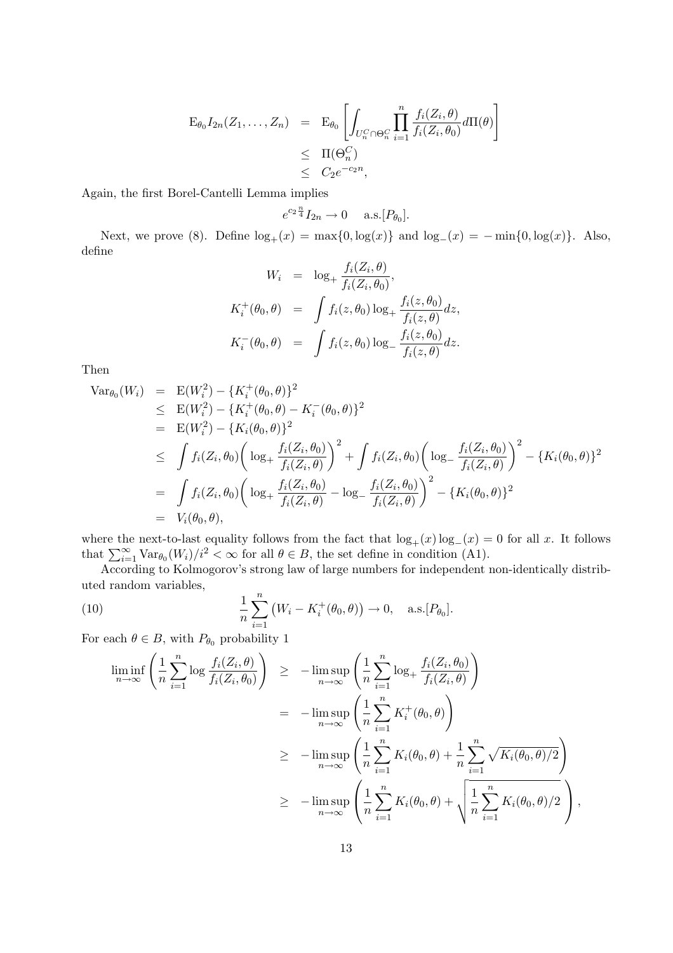$$
\begin{array}{rcl}\n\mathcal{E}_{\theta_0} I_{2n}(Z_1,\ldots,Z_n) & = & \mathcal{E}_{\theta_0} \left[ \int_{U_n^C \cap \Theta_n^C} \prod_{i=1}^n \frac{f_i(Z_i,\theta)}{f_i(Z_i,\theta_0)} d\Pi(\theta) \right] \\
& \leq & \Pi(\Theta_n^C) \\
& \leq & C_2 e^{-c_2 n},\n\end{array}
$$

Again, the first Borel-Cantelli Lemma implies

$$
e^{c_2\frac{n}{4}}I_{2n} \to 0
$$
 a.s.[ $P_{\theta_0}$ ].

Next, we prove (8). Define  $\log_+(x) = \max\{0, \log(x)\}\$  and  $\log_-(x) = -\min\{0, \log(x)\}\$ . Also, define

$$
W_i = \log_+ \frac{f_i(Z_i, \theta)}{f_i(Z_i, \theta_0)},
$$
  
\n
$$
K_i^+(\theta_0, \theta) = \int f_i(z, \theta_0) \log_+ \frac{f_i(z, \theta_0)}{f_i(z, \theta)} dz,
$$
  
\n
$$
K_i^-(\theta_0, \theta) = \int f_i(z, \theta_0) \log_- \frac{f_i(z, \theta_0)}{f_i(z, \theta)} dz.
$$

Then

$$
\begin{array}{rcl}\n\text{Var}_{\theta_{0}}(W_{i}) & = & \mathbb{E}(W_{i}^{2}) - \{K_{i}^{+}(\theta_{0}, \theta)\}^{2} \\
& \leq & \mathbb{E}(W_{i}^{2}) - \{K_{i}^{+}(\theta_{0}, \theta) - K_{i}^{-}(\theta_{0}, \theta)\}^{2} \\
& = & \mathbb{E}(W_{i}^{2}) - \{K_{i}(\theta_{0}, \theta)\}^{2} \\
& \leq & \int f_{i}(Z_{i}, \theta_{0}) \left(\log_{+} \frac{f_{i}(Z_{i}, \theta_{0})}{f_{i}(Z_{i}, \theta)}\right)^{2} + \int f_{i}(Z_{i}, \theta_{0}) \left(\log_{-} \frac{f_{i}(Z_{i}, \theta_{0})}{f_{i}(Z_{i}, \theta)}\right)^{2} - \{K_{i}(\theta_{0}, \theta)\}^{2} \\
& = & \int f_{i}(Z_{i}, \theta_{0}) \left(\log_{+} \frac{f_{i}(Z_{i}, \theta_{0})}{f_{i}(Z_{i}, \theta)} - \log_{-} \frac{f_{i}(Z_{i}, \theta_{0})}{f_{i}(Z_{i}, \theta)}\right)^{2} - \{K_{i}(\theta_{0}, \theta)\}^{2} \\
& = & V_{i}(\theta_{0}, \theta),\n\end{array}
$$

where the next-to-last equality follows from the fact that  $\log_+(x) \log_-(x) = 0$  for all x. It follows where the next-to-rast equality follows from the ract that  $\log_+(x) \log_-(x) =$ <br>that  $\sum_{i=1}^{\infty} \text{Var}_{\theta_0}(W_i)/i^2 < \infty$  for all  $\theta \in B$ , the set define in condition (A1).

According to Kolmogorov's strong law of large numbers for independent non-identically distributed random variables,

(10) 
$$
\frac{1}{n} \sum_{i=1}^{n} (W_i - K_i^+(\theta_0, \theta)) \to 0, \text{ a.s.}[P_{\theta_0}].
$$

For each  $\theta \in B$ , with  $P_{\theta_0}$  probability 1

$$
\liminf_{n \to \infty} \left( \frac{1}{n} \sum_{i=1}^{n} \log \frac{f_i(Z_i, \theta)}{f_i(Z_i, \theta_0)} \right) \ge -\limsup_{n \to \infty} \left( \frac{1}{n} \sum_{i=1}^{n} \log_+ \frac{f_i(Z_i, \theta_0)}{f_i(Z_i, \theta)} \right)
$$
\n
$$
= -\limsup_{n \to \infty} \left( \frac{1}{n} \sum_{i=1}^{n} K_i^+(\theta_0, \theta) \right)
$$
\n
$$
\ge -\limsup_{n \to \infty} \left( \frac{1}{n} \sum_{i=1}^{n} K_i(\theta_0, \theta) + \frac{1}{n} \sum_{i=1}^{n} \sqrt{K_i(\theta_0, \theta)/2} \right)
$$
\n
$$
\ge -\limsup_{n \to \infty} \left( \frac{1}{n} \sum_{i=1}^{n} K_i(\theta_0, \theta) + \sqrt{\frac{1}{n} \sum_{i=1}^{n} K_i(\theta_0, \theta)/2} \right),
$$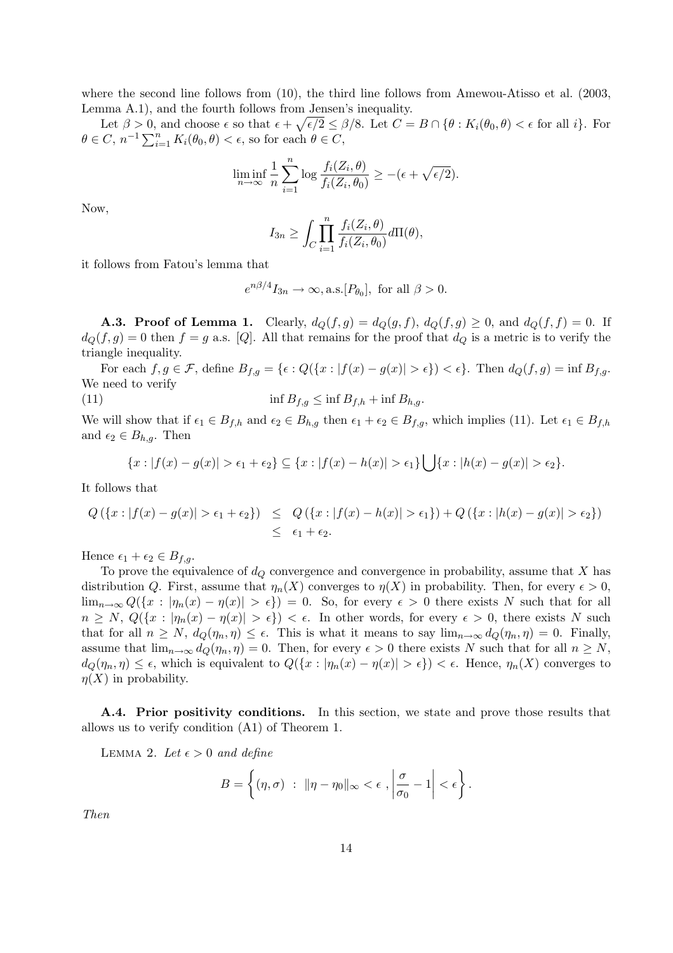where the second line follows from (10), the third line follows from Amewou-Atisso et al. (2003, Lemma A.1), and the fourth follows from Jensen's inequality.

Let  $\beta > 0$ , and choose  $\epsilon$  so that  $\epsilon + \sqrt{\epsilon/2} \le \beta/8$ . Let  $C = B \cap \{\theta : K_i(\theta_0, \theta) < \epsilon$  for all i}. For Let  $\rho > 0$ , and choose  $\epsilon$  so that  $\epsilon + \sqrt{\epsilon/2} \ge \kappa$ <br>  $\theta \in C$ ,  $n^{-1} \sum_{i=1}^{n} K_i(\theta_0, \theta) < \epsilon$ , so for each  $\theta \in C$ ,

$$
\liminf_{n \to \infty} \frac{1}{n} \sum_{i=1}^n \log \frac{f_i(Z_i, \theta)}{f_i(Z_i, \theta_0)} \ge -(\epsilon + \sqrt{\epsilon/2}).
$$

Now,

$$
I_{3n} \geq \int_C \prod_{i=1}^n \frac{f_i(Z_i, \theta)}{f_i(Z_i, \theta_0)} d\Pi(\theta),
$$

it follows from Fatou's lemma that

$$
e^{n\beta/4}I_{3n} \to \infty
$$
, a.s.[ $P_{\theta_0}$ ], for all  $\beta > 0$ .

**A.3. Proof of Lemma 1.** Clearly,  $d_Q(f,g) = d_Q(g,f)$ ,  $d_Q(f,g) \geq 0$ , and  $d_Q(f,f) = 0$ . If  $d_Q(f,g) = 0$  then  $f = g$  a.s. [Q]. All that remains for the proof that  $d_Q$  is a metric is to verify the triangle inequality.

For each  $f, g \in \mathcal{F}$ , define  $B_{f,g} = \{\epsilon : Q(\{x : |f(x) - g(x)| > \epsilon\}) < \epsilon\}$ . Then  $d_Q(f, g) = \inf B_{f,g}$ . We need to verify

(11) 
$$
\inf B_{f,g} \leq \inf B_{f,h} + \inf B_{h,g}.
$$

We will show that if  $\epsilon_1 \in B_{f,h}$  and  $\epsilon_2 \in B_{h,g}$  then  $\epsilon_1 + \epsilon_2 \in B_{f,g}$ , which implies (11). Let  $\epsilon_1 \in B_{f,h}$ and  $\epsilon_2 \in B_{h,g}$ . Then

$$
\{x : |f(x) - g(x)| > \epsilon_1 + \epsilon_2\} \subseteq \{x : |f(x) - h(x)| > \epsilon_1\} \bigcup \{x : |h(x) - g(x)| > \epsilon_2\}.
$$

It follows that

$$
Q(\{x : |f(x) - g(x)| > \epsilon_1 + \epsilon_2\}) \leq Q(\{x : |f(x) - h(x)| > \epsilon_1\}) + Q(\{x : |h(x) - g(x)| > \epsilon_2\})
$$
  
\$\leq \epsilon\_1 + \epsilon\_2\$.

Hence  $\epsilon_1 + \epsilon_2 \in B_{f,q}$ .

To prove the equivalence of  $d<sub>Q</sub>$  convergence and convergence in probability, assume that X has distribution Q. First, assume that  $\eta_n(X)$  converges to  $\eta(X)$  in probability. Then, for every  $\epsilon > 0$ ,  $\lim_{n\to\infty} Q(\{x: |\eta_n(x) - \eta(x)| > \epsilon\}) = 0$ . So, for every  $\epsilon > 0$  there exists N such that for all  $n \geq N$ ,  $Q({x : |\eta_n(x) - \eta(x)| > \epsilon}) < \epsilon$ . In other words, for every  $\epsilon > 0$ , there exists N such that for all  $n \geq N$ ,  $d_Q(\eta_n, \eta) \leq \epsilon$ . This is what it means to say  $\lim_{n \to \infty} d_Q(\eta_n, \eta) = 0$ . Finally, assume that  $\lim_{n\to\infty} d_Q(\eta_n, \eta) = 0$ . Then, for every  $\epsilon > 0$  there exists N such that for all  $n \geq N$ ,  $d_O(\eta_n, \eta) \leq \epsilon$ , which is equivalent to  $Q({x : |\eta_n(x) - \eta(x)| > \epsilon}) < \epsilon$ . Hence,  $\eta_n(X)$  converges to  $\eta(X)$  in probability.

A.4. Prior positivity conditions. In this section, we state and prove those results that allows us to verify condition (A1) of Theorem 1.

LEMMA 2. Let  $\epsilon > 0$  and define

$$
B = \left\{ (\eta, \sigma) : \|\eta - \eta_0\|_{\infty} < \epsilon , \left| \frac{\sigma}{\sigma_0} - 1 \right| < \epsilon \right\}.
$$

Then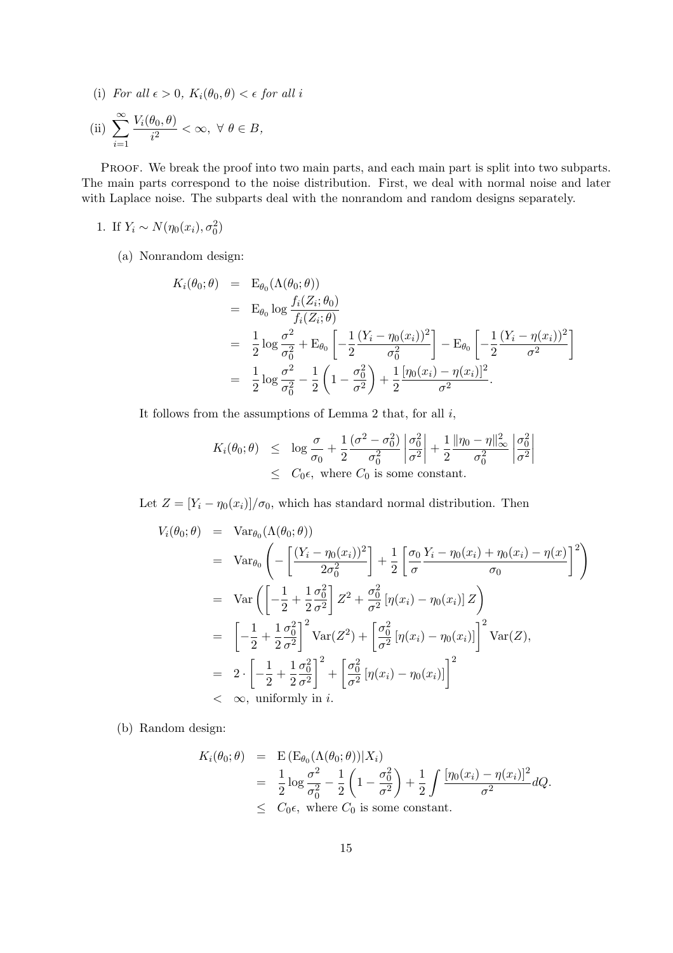(i) For all  $\epsilon > 0$ ,  $K_i(\theta_0, \theta) < \epsilon$  for all i

(ii) 
$$
\sum_{i=1}^{\infty} \frac{V_i(\theta_0, \theta)}{i^2} < \infty, \ \forall \ \theta \in B,
$$

PROOF. We break the proof into two main parts, and each main part is split into two subparts. The main parts correspond to the noise distribution. First, we deal with normal noise and later with Laplace noise. The subparts deal with the nonrandom and random designs separately.

- 1. If  $Y_i \sim N(\eta_0(x_i), \sigma_0^2)$ 
	- (a) Nonrandom design:

$$
K_{i}(\theta_{0};\theta) = \mathbf{E}_{\theta_{0}}(\Lambda(\theta_{0};\theta))
$$
  
\n
$$
= \mathbf{E}_{\theta_{0}} \log \frac{f_{i}(Z_{i};\theta_{0})}{f_{i}(Z_{i};\theta)}
$$
  
\n
$$
= \frac{1}{2} \log \frac{\sigma^{2}}{\sigma_{0}^{2}} + \mathbf{E}_{\theta_{0}} \left[ -\frac{1}{2} \frac{(Y_{i} - \eta_{0}(x_{i}))^{2}}{\sigma_{0}^{2}} \right] - \mathbf{E}_{\theta_{0}} \left[ -\frac{1}{2} \frac{(Y_{i} - \eta(x_{i}))^{2}}{\sigma^{2}} \right]
$$
  
\n
$$
= \frac{1}{2} \log \frac{\sigma^{2}}{\sigma_{0}^{2}} - \frac{1}{2} \left( 1 - \frac{\sigma_{0}^{2}}{\sigma^{2}} \right) + \frac{1}{2} \frac{[\eta_{0}(x_{i}) - \eta(x_{i})]^{2}}{\sigma^{2}}.
$$

It follows from the assumptions of Lemma 2 that, for all  $i$ ,

$$
K_i(\theta_0; \theta) \le \log \frac{\sigma}{\sigma_0} + \frac{1}{2} \frac{(\sigma^2 - \sigma_0^2)}{\sigma_0^2} \left| \frac{\sigma_0^2}{\sigma^2} \right| + \frac{1}{2} \frac{\|\eta_0 - \eta\|_{\infty}^2}{\sigma_0^2} \left| \frac{\sigma_0^2}{\sigma^2} \right|
$$
  
  $\le C_0 \epsilon$ , where  $C_0$  is some constant.

Let  $Z = [Y_i - \eta_0(x_i)]/\sigma_0$ , which has standard normal distribution. Then

$$
V_{i}(\theta_{0};\theta) = \text{Var}_{\theta_{0}}(\Lambda(\theta_{0};\theta))
$$
  
\n
$$
= \text{Var}_{\theta_{0}}\left(-\left[\frac{(Y_{i} - \eta_{0}(x_{i}))^{2}}{2\sigma_{0}^{2}}\right] + \frac{1}{2}\left[\frac{\sigma_{0}}{\sigma}\frac{Y_{i} - \eta_{0}(x_{i}) + \eta_{0}(x_{i}) - \eta(x)}{\sigma_{0}}\right]^{2}\right)
$$
  
\n
$$
= \text{Var}\left(\left[-\frac{1}{2} + \frac{1}{2}\frac{\sigma_{0}^{2}}{\sigma^{2}}\right]Z^{2} + \frac{\sigma_{0}^{2}}{\sigma^{2}}\left[\eta(x_{i}) - \eta_{0}(x_{i})\right]Z\right)
$$
  
\n
$$
= \left[-\frac{1}{2} + \frac{1}{2}\frac{\sigma_{0}^{2}}{\sigma^{2}}\right]^{2}\text{Var}(Z^{2}) + \left[\frac{\sigma_{0}^{2}}{\sigma^{2}}\left[\eta(x_{i}) - \eta_{0}(x_{i})\right]\right]^{2}\text{Var}(Z),
$$
  
\n
$$
= 2 \cdot \left[-\frac{1}{2} + \frac{1}{2}\frac{\sigma_{0}^{2}}{\sigma^{2}}\right]^{2} + \left[\frac{\sigma_{0}^{2}}{\sigma^{2}}\left[\eta(x_{i}) - \eta_{0}(x_{i})\right]\right]^{2}
$$
  
\n
$$
< \infty, \text{ uniformly in } i.
$$

(b) Random design:

$$
K_i(\theta_0; \theta) = \mathbf{E} (\mathbf{E}_{\theta_0} (\Lambda(\theta_0; \theta)) | X_i)
$$
  
=  $\frac{1}{2} \log \frac{\sigma^2}{\sigma_0^2} - \frac{1}{2} \left( 1 - \frac{\sigma_0^2}{\sigma^2} \right) + \frac{1}{2} \int \frac{[\eta_0(x_i) - \eta(x_i)]^2}{\sigma^2} dQ.$   
 $\leq C_0 \epsilon$ , where  $C_0$  is some constant.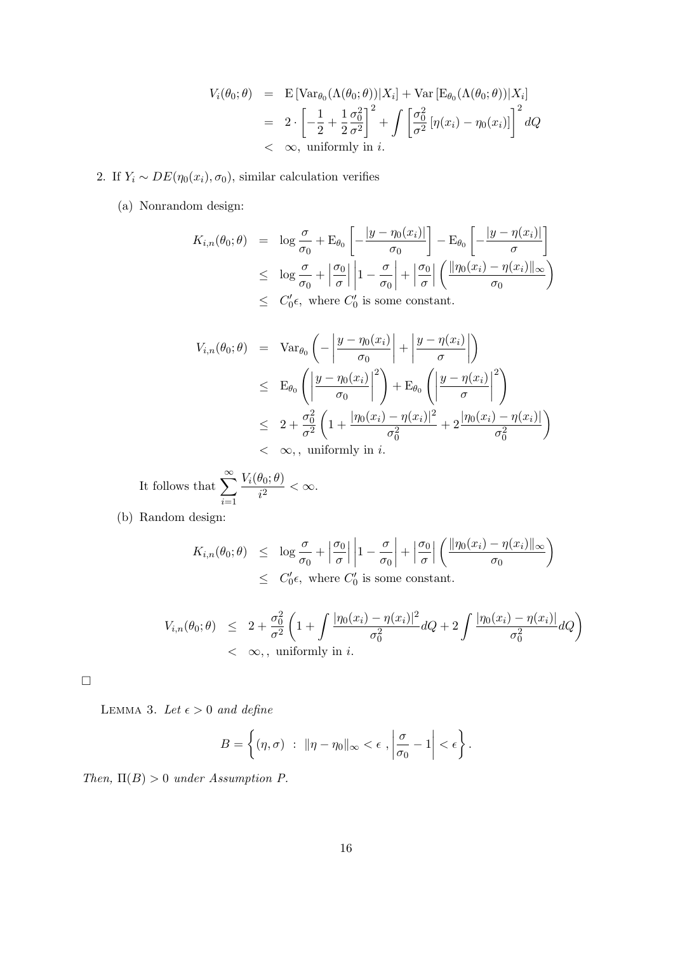$$
V_i(\theta_0; \theta) = \mathbb{E} [\text{Var}_{\theta_0}(\Lambda(\theta_0; \theta)) | X_i] + \text{Var} [\mathbb{E}_{\theta_0}(\Lambda(\theta_0; \theta)) | X_i]
$$
  
=  $2 \cdot \left[ -\frac{1}{2} + \frac{1}{2} \frac{\sigma_0^2}{\sigma^2} \right]^2 + \int \left[ \frac{\sigma_0^2}{\sigma^2} [\eta(x_i) - \eta_0(x_i)] \right]^2 dQ$   
<  $\infty$ , uniformly in *i*.

- 2. If  $Y_i \sim DE(\eta_0(x_i), \sigma_0)$ , similar calculation verifies
	- (a) Nonrandom design:

$$
K_{i,n}(\theta_0; \theta) = \log \frac{\sigma}{\sigma_0} + \mathcal{E}_{\theta_0} \left[ -\frac{|y - \eta_0(x_i)|}{\sigma_0} \right] - \mathcal{E}_{\theta_0} \left[ -\frac{|y - \eta(x_i)|}{\sigma} \right]
$$
  
\n
$$
\leq \log \frac{\sigma}{\sigma_0} + \left| \frac{\sigma_0}{\sigma} \right| \left| 1 - \frac{\sigma}{\sigma_0} \right| + \left| \frac{\sigma_0}{\sigma} \right| \left( \frac{\|\eta_0(x_i) - \eta(x_i)\|_{\infty}}{\sigma_0} \right)
$$
  
\n
$$
\leq C'_0 \epsilon, \text{ where } C'_0 \text{ is some constant.}
$$

$$
V_{i,n}(\theta_0; \theta) = \text{Var}_{\theta_0} \left( -\left| \frac{y - \eta_0(x_i)}{\sigma_0} \right| + \left| \frac{y - \eta(x_i)}{\sigma} \right| \right)
$$
  
\$\leq\$  $E_{\theta_0} \left( \left| \frac{y - \eta_0(x_i)}{\sigma_0} \right|^2 \right) + E_{\theta_0} \left( \left| \frac{y - \eta(x_i)}{\sigma} \right|^2 \right)$   
\$\leq\$  $2 + \frac{\sigma_0^2}{\sigma^2} \left( 1 + \frac{|\eta_0(x_i) - \eta(x_i)|^2}{\sigma_0^2} + 2 \frac{|\eta_0(x_i) - \eta(x_i)|}{\sigma_0^2} \right)$   
\$\leq\$  $\infty$ , uniformly in *i*.

It follows that  $\sum_{n=1}^{\infty}$  $i=1$  $V_i(\theta_0;\theta)$  $\frac{\partial (0, b)}{\partial i^2} < \infty.$ 

(b) Random design:

$$
K_{i,n}(\theta_0; \theta) \leq \log \frac{\sigma}{\sigma_0} + \left| \frac{\sigma_0}{\sigma} \right| \left| 1 - \frac{\sigma}{\sigma_0} \right| + \left| \frac{\sigma_0}{\sigma} \right| \left( \frac{\|\eta_0(x_i) - \eta(x_i)\|_{\infty}}{\sigma_0} \right)
$$
  

$$
\leq C'_0 \epsilon, \text{ where } C'_0 \text{ is some constant.}
$$

$$
V_{i,n}(\theta_0; \theta) \leq 2 + \frac{\sigma_0^2}{\sigma^2} \left( 1 + \int \frac{|\eta_0(x_i) - \eta(x_i)|^2}{\sigma_0^2} dQ + 2 \int \frac{|\eta_0(x_i) - \eta(x_i)|}{\sigma_0^2} dQ \right)
$$
  
<  $\infty$ ,, uniformly in *i*.

 $\Box$ 

LEMMA 3. Let  $\epsilon > 0$  and define

$$
B = \left\{ (\eta, \sigma) : \|\eta - \eta_0\|_{\infty} < \epsilon , \left|\frac{\sigma}{\sigma_0} - 1\right| < \epsilon \right\}.
$$

Then,  $\Pi(B) > 0$  under Assumption P.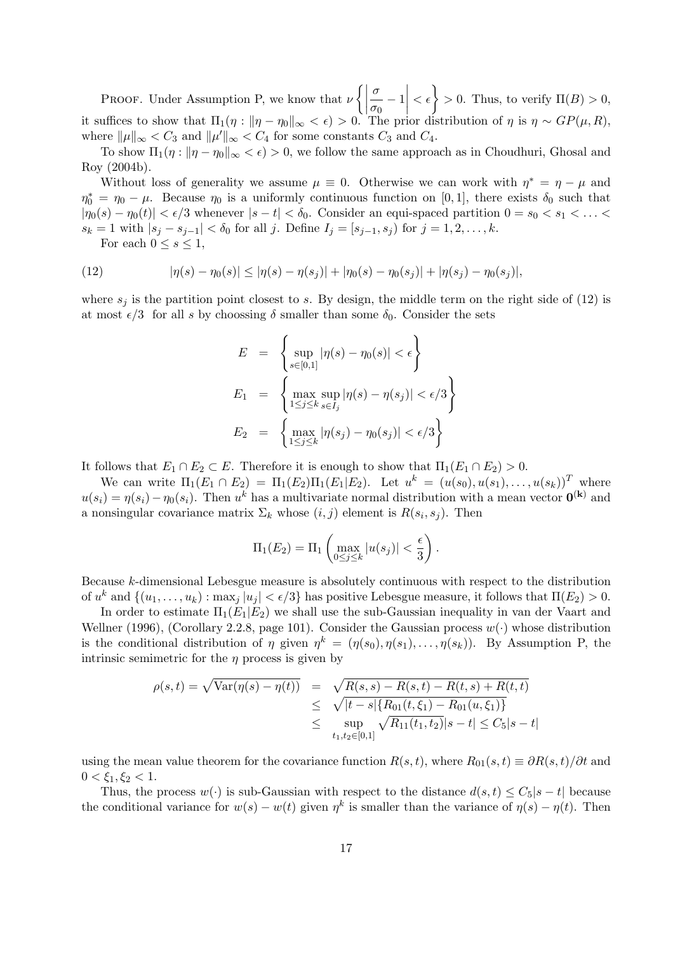PROOF. Under Assumption P, we know that  $\nu$  $\left\{\right\}$ σ  $\frac{6}{\sigma_0} - 1$  $\vert < \epsilon$  > 0. Thus, to verify  $\Pi(B) > 0$ , it suffices to show that  $\Pi_1(\eta : ||\eta - \eta_0||_{\infty} < \epsilon) > 0$ . The prior distribution of  $\eta$  is  $\eta \sim GP(\mu, R)$ , where  $\|\mu\|_{\infty} < C_3$  and  $\|\mu'\|_{\infty} < C_4$  for some constants  $C_3$  and  $C_4$ .

To show  $\Pi_1(\eta : ||\eta - \eta_0||_{\infty} < \epsilon) > 0$ , we follow the same approach as in Choudhuri, Ghosal and Roy (2004b).

Without loss of generality we assume  $\mu \equiv 0$ . Otherwise we can work with  $\eta^* = \eta - \mu$  and  $\eta_0^* = \eta_0 - \mu$ . Because  $\eta_0$  is a uniformly continuous function on [0,1], there exists  $\delta_0$  such that  $|\eta_0(s) - \eta_0(t)| < \epsilon/3$  whenever  $|s - t| < \delta_0$ . Consider an equi-spaced partition  $0 = s_0 < s_1 < \ldots <$  $s_k = 1$  with  $|s_j - s_{j-1}| < \delta_0$  for all j. Define  $I_j = [s_{j-1}, s_j]$  for  $j = 1, 2, ..., k$ .

For each  $0 \leq s \leq 1$ ,

(12) 
$$
|\eta(s) - \eta_0(s)| \le |\eta(s) - \eta(s_j)| + |\eta_0(s) - \eta_0(s_j)| + |\eta(s_j) - \eta_0(s_j)|,
$$

where  $s_j$  is the partition point closest to s. By design, the middle term on the right side of (12) is at most  $\epsilon/3$  for all s by choossing  $\delta$  smaller than some  $\delta_0$ . Consider the sets

$$
E = \left\{ \sup_{s \in [0,1]} |\eta(s) - \eta_0(s)| < \epsilon \right\}
$$
\n
$$
E_1 = \left\{ \max_{1 \le j \le k} \sup_{s \in I_j} |\eta(s) - \eta(s_j)| < \epsilon/3 \right\}
$$
\n
$$
E_2 = \left\{ \max_{1 \le j \le k} |\eta(s_j) - \eta_0(s_j)| < \epsilon/3 \right\}
$$

It follows that  $E_1 \cap E_2 \subset E$ . Therefore it is enough to show that  $\Pi_1(E_1 \cap E_2) > 0$ .

We can write  $\Pi_1(E_1 \cap E_2) = \Pi_1(E_2) \Pi_1(E_1 | E_2)$ . Let  $u^k = (u(s_0), u(s_1), \dots, u(s_k))^T$  where  $u(s_i) = \eta(s_i) - \eta_0(s_i)$ . Then u<sup>k</sup> has a multivariate normal distribution with a mean vector  $\mathbf{0}^{(k)}$  and a nonsingular covariance matrix  $\Sigma_k$  whose  $(i, j)$  element is  $R(s_i, s_j)$ . Then

$$
\Pi_1(E_2) = \Pi_1 \left( \max_{0 \le j \le k} |u(s_j)| < \frac{\epsilon}{3} \right).
$$

Because k-dimensional Lebesgue measure is absolutely continuous with respect to the distribution of  $u^k$  and  $\{(u_1,\ldots,u_k): \max_j |u_j| < \epsilon/3\}$  has positive Lebesgue measure, it follows that  $\Pi(E_2) > 0$ .

In order to estimate  $\Pi_1(E_1|E_2)$  we shall use the sub-Gaussian inequality in van der Vaart and Wellner (1996), (Corollary 2.2.8, page 101). Consider the Gaussian process  $w(\cdot)$  whose distribution is the conditional distribution of  $\eta$  given  $\eta^k = (\eta(s_0), \eta(s_1), \dots, \eta(s_k))$ . By Assumption P, the intrinsic semimetric for the  $\eta$  process is given by

$$
\rho(s,t) = \sqrt{\text{Var}(\eta(s) - \eta(t))} = \sqrt{R(s,s) - R(s,t) - R(t,s) + R(t,t)}
$$
  
\n
$$
\leq \sqrt{|t - s| \{R_{01}(t,\xi_1) - R_{01}(u,\xi_1)\}\}
$$
  
\n
$$
\leq \sup_{t_1,t_2 \in [0,1]} \sqrt{R_{11}(t_1,t_2)} |s - t| \leq C_5 |s - t|
$$

using the mean value theorem for the covariance function  $R(s, t)$ , where  $R_{01}(s, t) \equiv \partial R(s, t)/\partial t$  and  $0 < \xi_1, \xi_2 < 1$ .

Thus, the process  $w(\cdot)$  is sub-Gaussian with respect to the distance  $d(s, t) \leq C_5|s - t|$  because the conditional variance for  $w(s) - w(t)$  given  $\eta^k$  is smaller than the variance of  $\eta(s) - \eta(t)$ . Then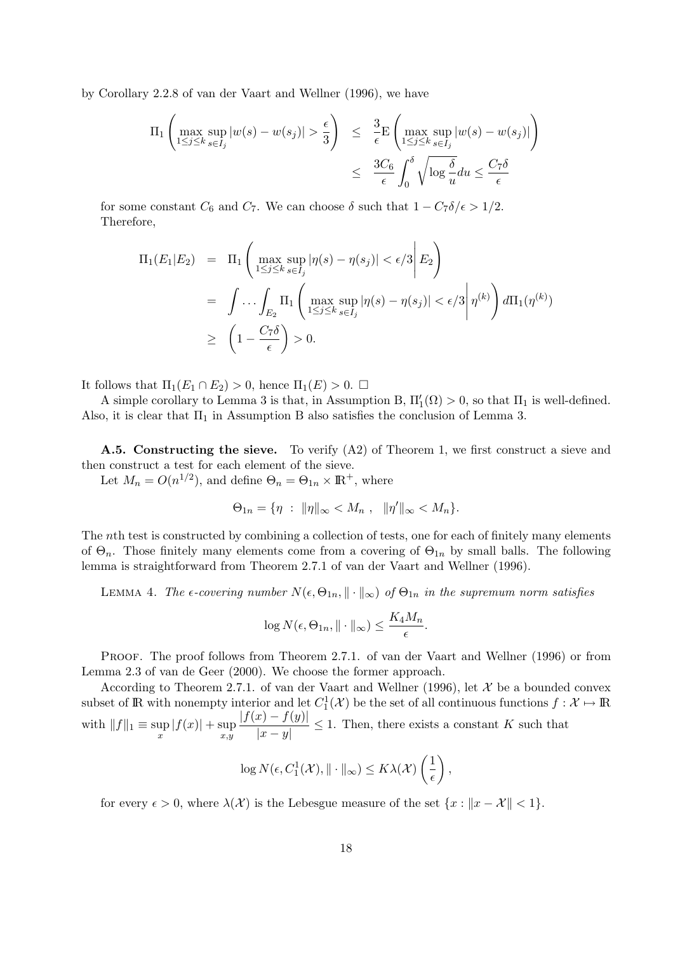by Corollary 2.2.8 of van der Vaart and Wellner (1996), we have

$$
\Pi_1 \left( \max_{1 \le j \le k} \sup_{s \in I_j} |w(s) - w(s_j)| > \frac{\epsilon}{3} \right) \le \frac{3}{\epsilon} \mathbb{E} \left( \max_{1 \le j \le k} \sup_{s \in I_j} |w(s) - w(s_j)| \right)
$$
  

$$
\le \frac{3C_6}{\epsilon} \int_0^\delta \sqrt{\log \frac{\delta}{u}} du \le \frac{C_7 \delta}{\epsilon}
$$

for some constant  $C_6$  and  $C_7$ . We can choose  $\delta$  such that  $1 - C_7 \delta / \epsilon > 1/2$ . Therefore,

$$
\Pi_1(E_1|E_2) = \Pi_1\left(\max_{1\leq j\leq k} \sup_{s\in I_j} |\eta(s) - \eta(s_j)| < \epsilon/3 | E_2\right)
$$
  
\n
$$
= \int \dots \int_{E_2} \Pi_1\left(\max_{1\leq j\leq k} \sup_{s\in I_j} |\eta(s) - \eta(s_j)| < \epsilon/3 |\eta^{(k)}\right) d\Pi_1(\eta^{(k)})
$$
  
\n
$$
\geq \left(1 - \frac{C_7\delta}{\epsilon}\right) > 0.
$$

It follows that  $\Pi_1(E_1 \cap E_2) > 0$ , hence  $\Pi_1(E) > 0$ .  $\Box$ 

A simple corollary to Lemma 3 is that, in Assumption B,  $\Pi'_{1}(\Omega) > 0$ , so that  $\Pi_{1}$  is well-defined. Also, it is clear that  $\Pi_1$  in Assumption B also satisfies the conclusion of Lemma 3.

A.5. Constructing the sieve. To verify (A2) of Theorem 1, we first construct a sieve and then construct a test for each element of the sieve.

Let  $M_n = O(n^{1/2})$ , and define  $\Theta_n = \Theta_{1n} \times \mathbb{R}^+$ , where

$$
\Theta_{1n} = \{\eta : \ \|\eta\|_{\infty} < M_n \ , \ \|\eta'\|_{\infty} < M_n \}.
$$

The nth test is constructed by combining a collection of tests, one for each of finitely many elements of  $\Theta_n$ . Those finitely many elements come from a covering of  $\Theta_{1n}$  by small balls. The following lemma is straightforward from Theorem 2.7.1 of van der Vaart and Wellner (1996).

LEMMA 4. The  $\epsilon$ -covering number  $N(\epsilon, \Theta_{1n}, \|\cdot\|_{\infty})$  of  $\Theta_{1n}$  in the supremum norm satisfies

$$
\log N(\epsilon, \Theta_{1n}, \|\cdot\|_{\infty}) \leq \frac{K_4 M_n}{\epsilon}.
$$

PROOF. The proof follows from Theorem 2.7.1. of van der Vaart and Wellner (1996) or from Lemma 2.3 of van de Geer (2000). We choose the former approach.

According to Theorem 2.7.1. of van der Vaart and Wellner (1996), let  $\mathcal X$  be a bounded convex subset of R with nonempty interior and let  $C_1^1(\mathcal{X})$  be the set of all continuous functions  $f: \mathcal{X} \mapsto \mathbb{R}$ with  $||f||_1 \equiv \sup_x$  $|f(x)| + \sup$  $x, y$  $|f(x) - f(y)|$  $\frac{|x - y|}{|x - y|} \leq 1$ . Then, there exists a constant K such that

$$
\log N(\epsilon, C_1^1(\mathcal{X}), \|\cdot\|_{\infty}) \leq K\lambda(\mathcal{X})\left(\frac{1}{\epsilon}\right),
$$

for every  $\epsilon > 0$ , where  $\lambda(\mathcal{X})$  is the Lebesgue measure of the set  $\{x : ||x - \mathcal{X}|| < 1\}$ .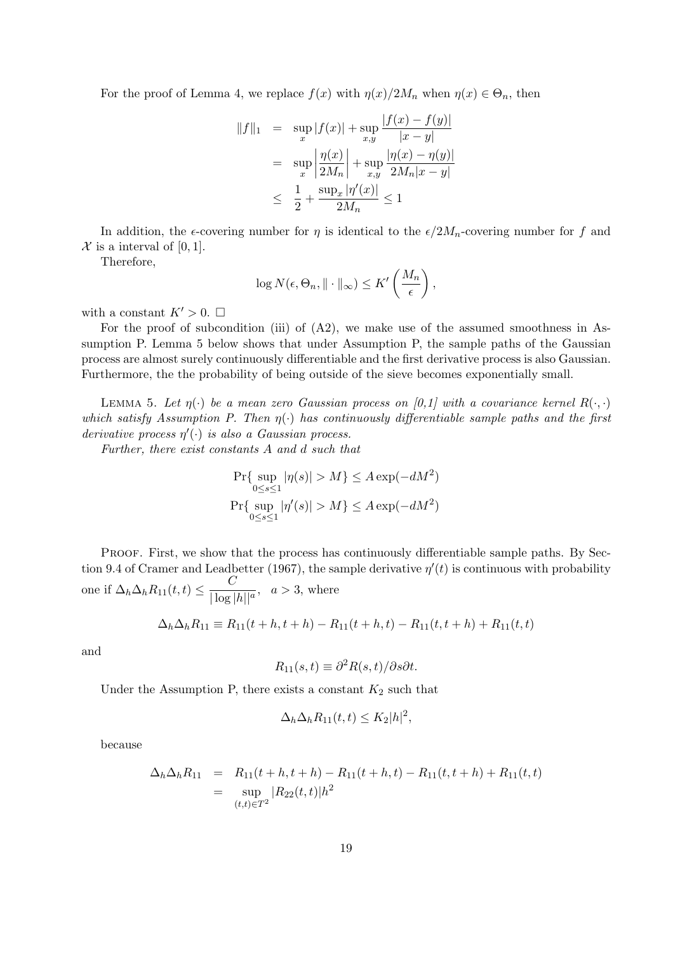For the proof of Lemma 4, we replace  $f(x)$  with  $\eta(x)/2M_n$  when  $\eta(x) \in \Theta_n$ , then

$$
||f||_1 = \sup_x |f(x)| + \sup_{x,y} \frac{|f(x) - f(y)|}{|x - y|}
$$
  
= 
$$
\sup_x \left| \frac{\eta(x)}{2M_n} \right| + \sup_{x,y} \frac{|\eta(x) - \eta(y)|}{2M_n|x - y|}
$$
  

$$
\leq \frac{1}{2} + \frac{\sup_x |\eta'(x)|}{2M_n} \leq 1
$$

In addition, the  $\epsilon$ -covering number for  $\eta$  is identical to the  $\epsilon/2M_n$ -covering number for f and  $\mathcal{X}$  is a interval of [0, 1].

Therefore,

$$
\log N(\epsilon, \Theta_n, \|\cdot\|_{\infty}) \leq K' \left(\frac{M_n}{\epsilon}\right),
$$

with a constant  $K' > 0$ .  $\Box$ 

For the proof of subcondition (iii) of  $(A2)$ , we make use of the assumed smoothness in Assumption P. Lemma 5 below shows that under Assumption P, the sample paths of the Gaussian process are almost surely continuously differentiable and the first derivative process is also Gaussian. Furthermore, the the probability of being outside of the sieve becomes exponentially small.

LEMMA 5. Let  $\eta(\cdot)$  be a mean zero Gaussian process on [0,1] with a covariance kernel  $R(\cdot, \cdot)$ which satisfy Assumption P. Then  $\eta(\cdot)$  has continuously differentiable sample paths and the first derivative process  $\eta'(\cdot)$  is also a Gaussian process.

Further, there exist constants A and d such that

$$
\Pr\{\sup_{0\le s\le 1} |\eta(s)| > M\} \le A \exp(-dM^2)
$$
  
 
$$
\Pr\{\sup_{0\le s\le 1} |\eta'(s)| > M\} \le A \exp(-dM^2)
$$

PROOF. First, we show that the process has continuously differentiable sample paths. By Section 9.4 of Cramer and Leadbetter (1967), the sample derivative  $\eta'(t)$  is continuous with probability one if  $\Delta_h \Delta_h R_{11}(t,t) \leq \frac{C}{|A| \cdot |B|}$  $\frac{c}{|\log|h||^a}, a > 3$ , where

$$
\Delta_h \Delta_h R_{11} \equiv R_{11}(t+h, t+h) - R_{11}(t+h, t) - R_{11}(t, t+h) + R_{11}(t, t)
$$

and

$$
R_{11}(s,t) \equiv \partial^2 R(s,t)/\partial s \partial t.
$$

Under the Assumption P, there exists a constant  $K_2$  such that

$$
\Delta_h \Delta_h R_{11}(t, t) \le K_2 |h|^2,
$$

because

$$
\Delta_h \Delta_h R_{11} = R_{11}(t+h, t+h) - R_{11}(t+h, t) - R_{11}(t, t+h) + R_{11}(t, t)
$$
  
= 
$$
\sup_{(t,t) \in T^2} |R_{22}(t,t)|h^2
$$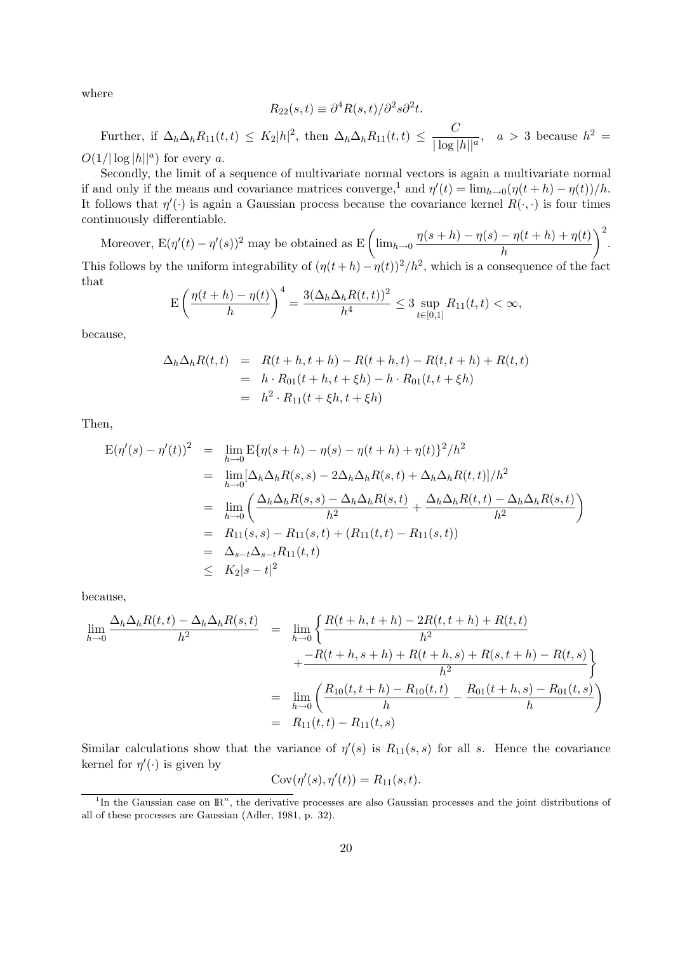where

$$
R_{22}(s,t) \equiv \partial^4 R(s,t) / \partial^2 s \partial^2 t.
$$

Further, if  $\Delta_h \Delta_h R_{11}(t,t) \leq K_2 |h|^2$ , then  $\Delta_h \Delta_h R_{11}(t,t) \leq \frac{C_2}{1+\epsilon}$  $\frac{C}{|\log|h||^a}$ ,  $a > 3$  because  $h^2 =$  $O(1/|\log|h||^a)$  for every a.

Secondly, the limit of a sequence of multivariate normal vectors is again a multivariate normal if and only if the means and covariance matrices converge,<sup>1</sup> and  $\eta'(t) = \lim_{h \to 0} (\eta(t+h) - \eta(t))/h$ . It follows that  $\eta'(\cdot)$  is again a Gaussian process because the covariance kernel  $R(\cdot, \cdot)$  is four times continuously differentiable.  $\sqrt{2}$ 

Moreover,  $E(\eta'(t) - \eta'(s))^2$  may be obtained as  $E\left(\lim_{h\to 0} \frac{\eta(s+h) - \eta(s) - \eta(t+h) + \eta(t)}{h}\right)$ h . This follows by the uniform integrability of  $(\eta(t+h)-\eta(t))^2/h^2$ , which is a consequence of the fact

$$
_{\rm that}
$$

$$
\mathbf{E}\left(\frac{\eta(t+h)-\eta(t)}{h}\right)^4 = \frac{3(\Delta_h \Delta_h R(t,t))^2}{h^4} \le 3 \sup_{t \in [0,1]} R_{11}(t,t) < \infty,
$$

because,

$$
\Delta_h \Delta_h R(t, t) = R(t + h, t + h) - R(t + h, t) - R(t, t + h) + R(t, t) \n= h \cdot R_{01}(t + h, t + \xi h) - h \cdot R_{01}(t, t + \xi h) \n= h^2 \cdot R_{11}(t + \xi h, t + \xi h)
$$

Then,

$$
E(\eta'(s) - \eta'(t))^2 = \lim_{h \to 0} E{\eta(s+h) - \eta(s) - \eta(t+h) + \eta(t)}^2/h^2
$$
  
\n
$$
= \lim_{h \to 0} [\Delta_h \Delta_h R(s, s) - 2\Delta_h \Delta_h R(s, t) + \Delta_h \Delta_h R(t, t)]/h^2
$$
  
\n
$$
= \lim_{h \to 0} \left( \frac{\Delta_h \Delta_h R(s, s) - \Delta_h \Delta_h R(s, t)}{h^2} + \frac{\Delta_h \Delta_h R(t, t) - \Delta_h \Delta_h R(s, t)}{h^2} \right)
$$
  
\n
$$
= R_{11}(s, s) - R_{11}(s, t) + (R_{11}(t, t) - R_{11}(s, t))
$$
  
\n
$$
\leq K_2|s - t|^2
$$

because,

$$
\lim_{h \to 0} \frac{\Delta_h \Delta_h R(t, t) - \Delta_h \Delta_h R(s, t)}{h^2} = \lim_{h \to 0} \left\{ \frac{R(t + h, t + h) - 2R(t, t + h) + R(t, t)}{h^2} + \frac{-R(t + h, s + h) + R(t + h, s) + R(s, t + h) - R(t, s)}{h^2} \right\}
$$
\n
$$
= \lim_{h \to 0} \left( \frac{R_{10}(t, t + h) - R_{10}(t, t)}{h} - \frac{R_{01}(t + h, s) - R_{01}(t, s)}{h} \right)
$$
\n
$$
= R_{11}(t, t) - R_{11}(t, s)
$$

Similar calculations show that the variance of  $\eta'(s)$  is  $R_{11}(s,s)$  for all s. Hence the covariance kernel for  $\eta'(\cdot)$  is given by

$$
Cov(\eta'(s), \eta'(t)) = R_{11}(s, t).
$$

<sup>&</sup>lt;sup>1</sup>In the Gaussian case on  $\mathbb{R}^n$ , the derivative processes are also Gaussian processes and the joint distributions of all of these processes are Gaussian (Adler, 1981, p. 32).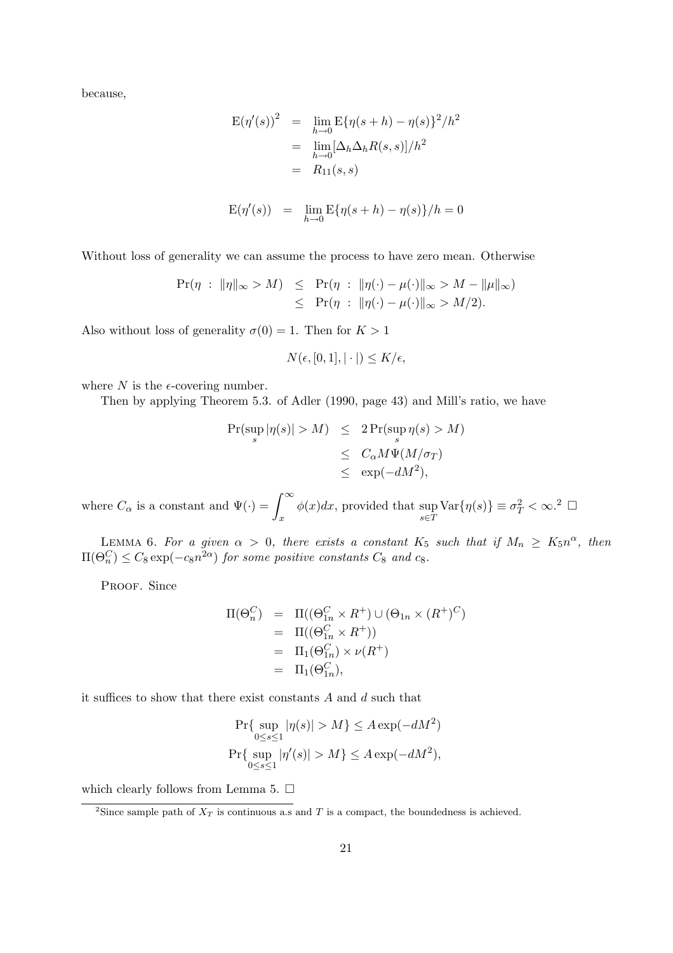because,

$$
E(\eta'(s))^2 = \lim_{h \to 0} E{\eta(s+h) - \eta(s)}^2/h^2
$$
  
= 
$$
\lim_{h \to 0} [\Delta_h \Delta_h R(s,s)]/h^2
$$
  
= 
$$
R_{11}(s,s)
$$

$$
\mathbf{E}(\eta'(s)) = \lim_{h \to 0} \mathbf{E}\{\eta(s+h) - \eta(s)\}/h = 0
$$

Without loss of generality we can assume the process to have zero mean. Otherwise

$$
\begin{array}{rcl}\n\Pr(\eta : \| \eta \|_{\infty} > M) & \leq \Pr(\eta : \| \eta(\cdot) - \mu(\cdot) \|_{\infty} > M - \| \mu \|_{\infty}) \\
& \leq \Pr(\eta : \| \eta(\cdot) - \mu(\cdot) \|_{\infty} > M/2).\n\end{array}
$$

Also without loss of generality  $\sigma(0) = 1$ . Then for  $K > 1$ 

$$
N(\epsilon, [0, 1], |\cdot|) \leq K/\epsilon,
$$

where  $N$  is the  $\epsilon$ -covering number.

Then by applying Theorem 5.3. of Adler (1990, page 43) and Mill's ratio, we have

$$
\Pr(\sup_{s} |\eta(s)| > M) \leq 2 \Pr(\sup_{s} \eta(s) > M)
$$
  

$$
\leq C_{\alpha} M \Psi(M/\sigma_T)
$$
  

$$
\leq \exp(-dM^2),
$$

where  $C_{\alpha}$  is a constant and  $\Psi(\cdot) = \int^{\infty}$ x  $\phi(x)dx$ , provided that sup s∈T  $\text{Var}\{\eta(s)\}\equiv \sigma_T^2 < \infty^2 \ \Box$ 

LEMMA 6. For a given  $\alpha > 0$ , there exists a constant  $K_5$  such that if  $M_n \geq K_5 n^{\alpha}$ , then  $\Pi(\Theta_n^C) \leq C_8 \exp(-c_8 n^{2\alpha})$  for some positive constants  $C_8$  and  $c_8$ .

PROOF. Since

$$
\Pi(\Theta_n^C) = \Pi((\Theta_{1n}^C \times R^+) \cup (\Theta_{1n} \times (R^+)^C)
$$
  
= 
$$
\Pi((\Theta_{1n}^C \times R^+))
$$
  
= 
$$
\Pi_1(\Theta_{1n}^C) \times \nu(R^+)
$$
  
= 
$$
\Pi_1(\Theta_{1n}^C),
$$

it suffices to show that there exist constants  $A$  and  $d$  such that

$$
\Pr\{\sup_{0\leq s\leq 1}|\eta(s)|>M\}\leq A\exp(-dM^2)
$$
  
 
$$
\Pr\{\sup_{0\leq s\leq 1}|\eta'(s)|>M\}\leq A\exp(-dM^2),
$$

which clearly follows from Lemma 5.  $\Box$ 

<sup>&</sup>lt;sup>2</sup>Since sample path of  $X_T$  is continuous a.s and T is a compact, the boundedness is achieved.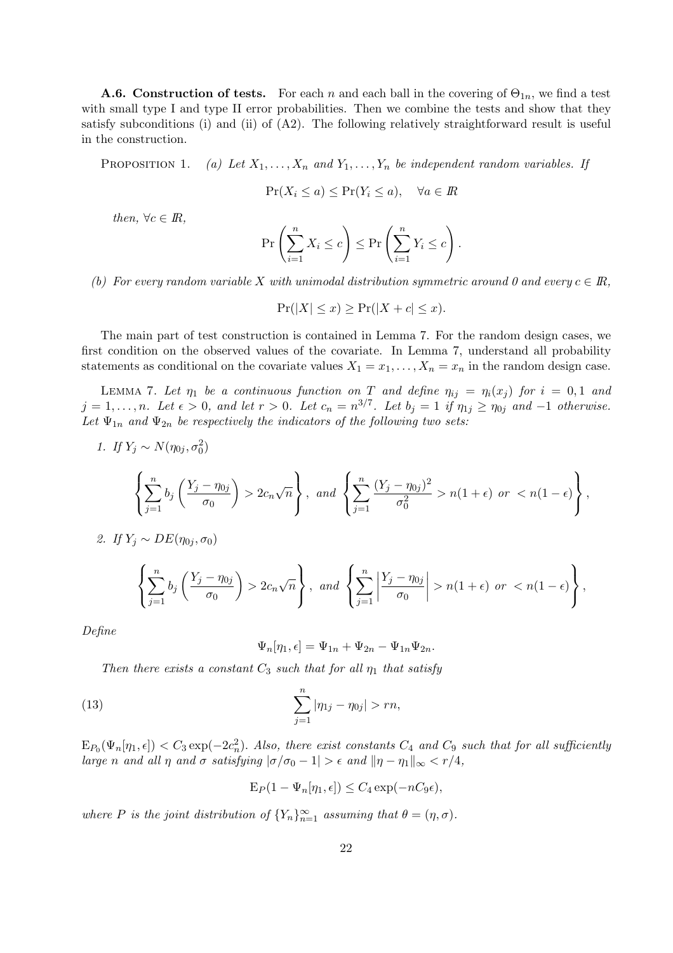**A.6.** Construction of tests. For each n and each ball in the covering of  $\Theta_{1n}$ , we find a test with small type I and type II error probabilities. Then we combine the tests and show that they satisfy subconditions (i) and (ii) of (A2). The following relatively straightforward result is useful in the construction.

PROPOSITION 1. (a) Let  $X_1, \ldots, X_n$  and  $Y_1, \ldots, Y_n$  be independent random variables. If

 $Pr(X_i \le a) \le Pr(Y_i \le a), \quad \forall a \in \mathbb{R}$ 

then,  $\forall c \in \mathbb{R}$ ,

$$
\Pr\left(\sum_{i=1}^n X_i \le c\right) \le \Pr\left(\sum_{i=1}^n Y_i \le c\right).
$$

(b) For every random variable X with unimodal distribution symmetric around 0 and every  $c \in \mathbb{R}$ ,

$$
\Pr(|X| \le x) \ge \Pr(|X + c| \le x).
$$

The main part of test construction is contained in Lemma 7. For the random design cases, we first condition on the observed values of the covariate. In Lemma 7, understand all probability statements as conditional on the covariate values  $X_1 = x_1, \ldots, X_n = x_n$  in the random design case.

LEMMA 7. Let  $\eta_1$  be a continuous function on T and define  $\eta_{ij} = \eta_i(x_j)$  for  $i = 0,1$  and  $j = 1, \ldots, n$ . Let  $\epsilon > 0$ , and let  $r > 0$ . Let  $c_n = n^{3/7}$ . Let  $b_j = 1$  if  $\eta_{1j} \ge \eta_{0j}$  and  $-1$  otherwise. Let  $\Psi_{1n}$  and  $\Psi_{2n}$  be respectively the indicators of the following two sets:

1. If 
$$
Y_j \sim N(\eta_{0j}, \sigma_0^2)
$$
  

$$
\left\{\sum_{j=1}^n b_j \left(\frac{Y_j - \eta_{0j}}{\sigma_0}\right) > 2c_n\sqrt{n}\right\}, \text{ and } \left\{\sum_{j=1}^n \frac{(Y_j - \eta_{0j})^2}{\sigma_0^2} > n(1+\epsilon) \text{ or } < n(1-\epsilon)\right\},\right\}
$$

2. If 
$$
Y_j \sim DE(\eta_{0j}, \sigma_0)
$$

$$
\left\{\sum_{j=1}^n b_j \left(\frac{Y_j-\eta_{0j}}{\sigma_0}\right) > 2c_n\sqrt{n}\right\}, \text{ and } \left\{\sum_{j=1}^n \left|\frac{Y_j-\eta_{0j}}{\sigma_0}\right| > n(1+\epsilon) \text{ or } < n(1-\epsilon)\right\},\right\}
$$

Define

$$
\Psi_n[\eta_1,\epsilon]=\Psi_{1n}+\Psi_{2n}-\Psi_{1n}\Psi_{2n}.
$$

Then there exists a constant  $C_3$  such that for all  $\eta_1$  that satisfy

(13) 
$$
\sum_{j=1}^{n} |\eta_{1j} - \eta_{0j}| > rn,
$$

 $\mathbb{E}_{P_0}(\Psi_n[\eta_1,\epsilon]) < C_3 \exp(-2c_n^2)$ . Also, there exist constants  $C_4$  and  $C_9$  such that for all sufficiently large n and all  $\eta$  and  $\sigma$  satisfying  $|\sigma/\sigma_0 - 1| > \epsilon$  and  $\|\eta - \eta_1\|_{\infty} < r/4$ ,

$$
E_P(1 - \Psi_n[\eta_1, \epsilon]) \le C_4 \exp(-nC_9 \epsilon),
$$

where P is the joint distribution of  $\{Y_n\}_{n=1}^{\infty}$  assuming that  $\theta = (\eta, \sigma)$ .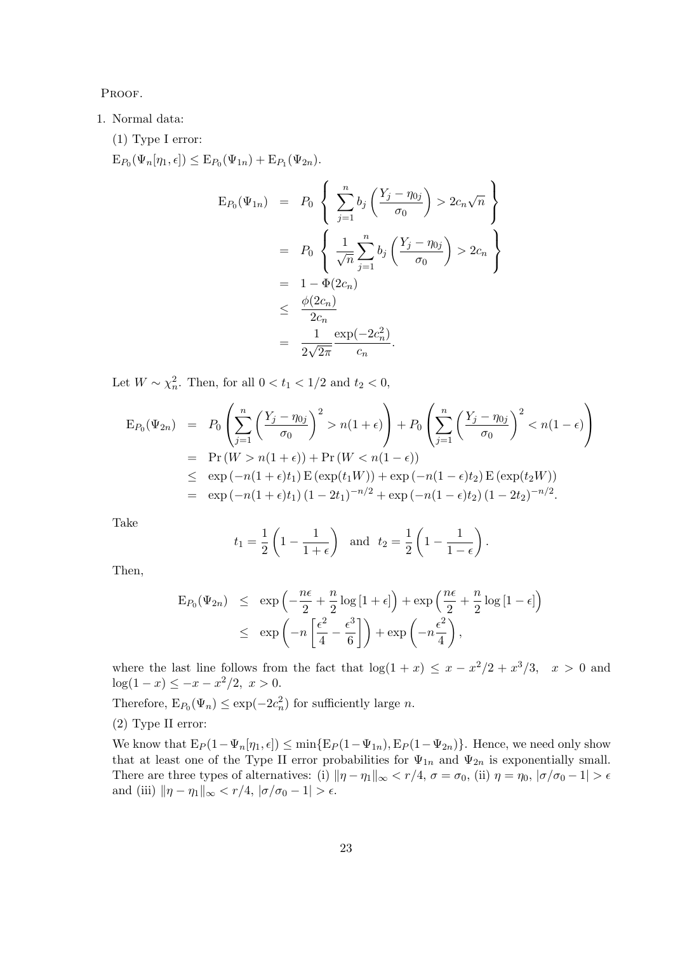PROOF.

1. Normal data:

(1) Type I error:

 $E_{P_0}(\Psi_n[\eta_1, \epsilon]) \leq E_{P_0}(\Psi_{1n}) + E_{P_1}(\Psi_{2n}).$ 

$$
E_{P_0}(\Psi_{1n}) = P_0 \left\{ \sum_{j=1}^n b_j \left( \frac{Y_j - \eta_{0j}}{\sigma_0} \right) > 2c_n \sqrt{n} \right\}
$$
  
=  $P_0 \left\{ \frac{1}{\sqrt{n}} \sum_{j=1}^n b_j \left( \frac{Y_j - \eta_{0j}}{\sigma_0} \right) > 2c_n \right\}$   
=  $1 - \Phi(2c_n)$   
 $\leq \frac{\phi(2c_n)}{2c_n}$   
=  $\frac{1}{2\sqrt{2\pi}} \frac{\exp(-2c_n^2)}{c_n}.$ 

Let  $W \sim \chi_n^2$ . Then, for all  $0 < t_1 < 1/2$  and  $t_2 < 0$ ,

$$
E_{P_0}(\Psi_{2n}) = P_0\left(\sum_{j=1}^n \left(\frac{Y_j - \eta_{0j}}{\sigma_0}\right)^2 > n(1+\epsilon)\right) + P_0\left(\sum_{j=1}^n \left(\frac{Y_j - \eta_{0j}}{\sigma_0}\right)^2 < n(1-\epsilon)\right)
$$
  
= Pr (W > n(1+\epsilon)) + Pr (W < n(1-\epsilon))  

$$
\leq \exp(-n(1+\epsilon)t_1) E(\exp(t_1W)) + \exp(-n(1-\epsilon)t_2) E(\exp(t_2W))
$$
  
= exp (-n(1+\epsilon)t\_1) (1-2t\_1)^{-n/2} + exp (-n(1-\epsilon)t\_2) (1-2t\_2)^{-n/2}.

Take

$$
t_1 = \frac{1}{2} \left( 1 - \frac{1}{1+\epsilon} \right)
$$
 and  $t_2 = \frac{1}{2} \left( 1 - \frac{1}{1-\epsilon} \right)$ .

Then,

$$
\begin{array}{rcl}\n\mathcal{E}_{P_0}(\Psi_{2n}) & \leq & \exp\left(-\frac{n\epsilon}{2} + \frac{n}{2}\log\left[1+\epsilon\right]\right) + \exp\left(\frac{n\epsilon}{2} + \frac{n}{2}\log\left[1-\epsilon\right]\right) \\
& \leq & \exp\left(-n\left[\frac{\epsilon^2}{4} - \frac{\epsilon^3}{6}\right]\right) + \exp\left(-n\frac{\epsilon^2}{4}\right),\n\end{array}
$$

where the last line follows from the fact that  $\log(1+x) \leq x - x^2/2 + x^3/3$ ,  $x > 0$  and  $\log(1-x) \leq -x - x^2/2, \ x > 0.$ 

Therefore,  $E_{P_0}(\Psi_n) \leq \exp(-2c_n^2)$  for sufficiently large n.

(2) Type II error:

We know that  $E_P(1-\Psi_n[\eta_1,\epsilon]) \leq \min\{E_P(1-\Psi_{1n}), E_P(1-\Psi_{2n})\}.$  Hence, we need only show that at least one of the Type II error probabilities for  $\Psi_{1n}$  and  $\Psi_{2n}$  is exponentially small. There are three types of alternatives: (i)  $\|\eta - \eta_1\|_{\infty} < r/4$ ,  $\sigma = \sigma_0$ , (ii)  $\eta = \eta_0$ ,  $|\sigma/\sigma_0 - 1| > \epsilon$ and (iii)  $\|\eta - \eta_1\|_{\infty} < r/4$ ,  $|\sigma/\sigma_0 - 1| > \epsilon$ .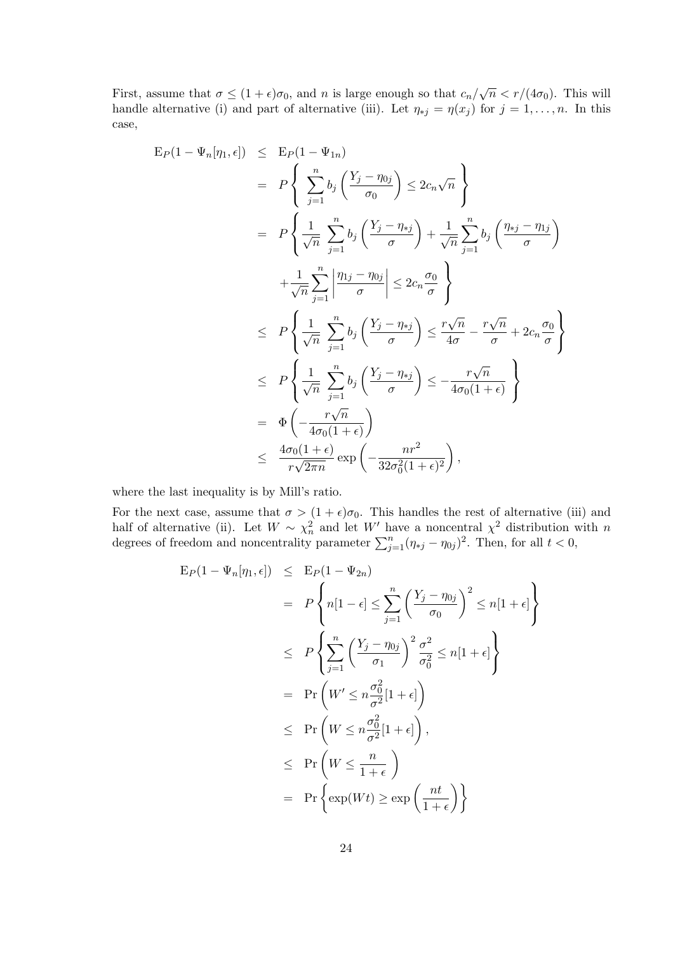First, assume that  $\sigma \leq (1+\epsilon)\sigma_0$ , and n is large enough so that  $c_n/\sqrt{n} < r/(4\sigma_0)$ . This will handle alternative (i) and part of alternative (iii). Let  $\eta_{*j} = \eta(x_j)$  for  $j = 1, ..., n$ . In this case,

$$
E_P(1 - \Psi_n[\eta_1, \epsilon]) \leq E_P(1 - \Psi_{1n})
$$
  
\n
$$
= P\left\{\sum_{j=1}^n b_j \left(\frac{Y_j - \eta_{0j}}{\sigma_0}\right) \leq 2c_n\sqrt{n}\right\}
$$
  
\n
$$
= P\left\{\frac{1}{\sqrt{n}} \sum_{j=1}^n b_j \left(\frac{Y_j - \eta_{*j}}{\sigma}\right) + \frac{1}{\sqrt{n}} \sum_{j=1}^n b_j \left(\frac{\eta_{*j} - \eta_{1j}}{\sigma}\right) + \frac{1}{\sqrt{n}} \sum_{j=1}^n \left|\frac{\eta_{1j} - \eta_{0j}}{\sigma}\right| \leq 2c_n\frac{\sigma_0}{\sigma}\right\}
$$
  
\n
$$
\leq P\left\{\frac{1}{\sqrt{n}} \sum_{j=1}^n b_j \left(\frac{Y_j - \eta_{*j}}{\sigma}\right) \leq \frac{r\sqrt{n}}{4\sigma} - \frac{r\sqrt{n}}{\sigma} + 2c_n\frac{\sigma_0}{\sigma}\right\}
$$
  
\n
$$
\leq P\left\{\frac{1}{\sqrt{n}} \sum_{j=1}^n b_j \left(\frac{Y_j - \eta_{*j}}{\sigma}\right) \leq -\frac{r\sqrt{n}}{4\sigma_0(1+\epsilon)}\right\}
$$
  
\n
$$
= \Phi\left(-\frac{r\sqrt{n}}{4\sigma_0(1+\epsilon)}\right)
$$
  
\n
$$
\leq \frac{4\sigma_0(1+\epsilon)}{r\sqrt{2\pi n}} \exp\left(-\frac{nr^2}{32\sigma_0^2(1+\epsilon)^2}\right),
$$

where the last inequality is by Mill's ratio.

For the next case, assume that  $\sigma > (1 + \epsilon)\sigma_0$ . This handles the rest of alternative (iii) and half of alternative (ii). Let  $W \sim \chi_n^2$  and let  $W'$  have a noncentral  $\chi^2$  distribution with *n* degrees of freedom and noncentrality parameter  $\sum_{j=1}^n (\eta_{*j} - \eta_{0j})^2$ . Then, for all  $t < 0$ ,

$$
E_P(1 - \Psi_n[\eta_1, \epsilon]) \leq E_P(1 - \Psi_{2n})
$$
  
\n
$$
= P\left\{n[1 - \epsilon] \leq \sum_{j=1}^n \left(\frac{Y_j - \eta_{0j}}{\sigma_0}\right)^2 \leq n[1 + \epsilon]\right\}
$$
  
\n
$$
\leq P\left\{\sum_{j=1}^n \left(\frac{Y_j - \eta_{0j}}{\sigma_1}\right)^2 \frac{\sigma^2}{\sigma_0^2} \leq n[1 + \epsilon]\right\}
$$
  
\n
$$
= Pr\left(W' \leq n\frac{\sigma_0^2}{\sigma^2}[1 + \epsilon]\right)
$$
  
\n
$$
\leq Pr\left(W \leq n\frac{\sigma_0^2}{\sigma^2}[1 + \epsilon]\right),
$$
  
\n
$$
\leq Pr\left(W \leq \frac{n}{1 + \epsilon}\right)
$$
  
\n
$$
= Pr\left\{\exp(Wt) \geq \exp\left(\frac{nt}{1 + \epsilon}\right)\right\}
$$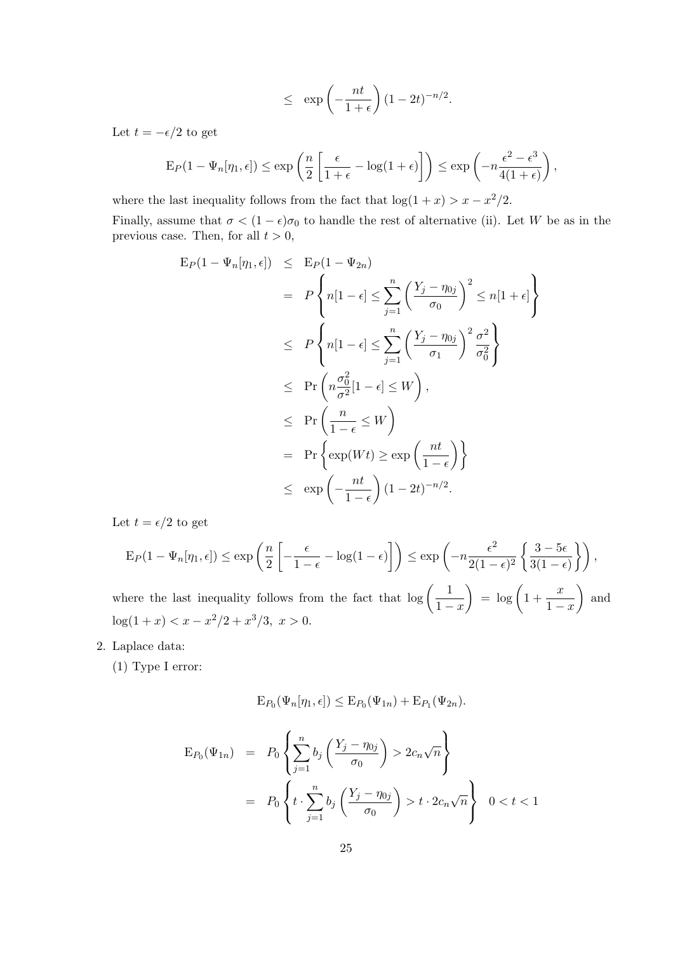$$
\leq \exp\left(-\frac{nt}{1+\epsilon}\right)(1-2t)^{-n/2}.
$$

Let  $t = -\epsilon/2$  to get

$$
\mathsf{E}_P(1-\Psi_n[\eta_1,\epsilon])\leq \exp\left(\frac{n}{2}\left[\frac{\epsilon}{1+\epsilon}-\log(1+\epsilon)\right]\right)\leq \exp\left(-n\frac{\epsilon^2-\epsilon^3}{4(1+\epsilon)}\right),
$$

where the last inequality follows from the fact that  $\log(1 + x) > x - x^2/2$ . Finally, assume that  $\sigma < (1 - \epsilon)\sigma_0$  to handle the rest of alternative (ii). Let W be as in the previous case. Then, for all  $t > 0$ ,

$$
E_P(1 - \Psi_n[\eta_1, \epsilon]) \leq E_P(1 - \Psi_{2n})
$$
  
\n
$$
= P\left\{ n[1 - \epsilon] \leq \sum_{j=1}^n \left( \frac{Y_j - \eta_{0j}}{\sigma_0} \right)^2 \leq n[1 + \epsilon] \right\}
$$
  
\n
$$
\leq P\left\{ n[1 - \epsilon] \leq \sum_{j=1}^n \left( \frac{Y_j - \eta_{0j}}{\sigma_1} \right)^2 \frac{\sigma^2}{\sigma_0^2} \right\}
$$
  
\n
$$
\leq Pr\left( n \frac{\sigma_0^2}{\sigma^2} [1 - \epsilon] \leq W \right),
$$
  
\n
$$
\leq Pr\left( \frac{n}{1 - \epsilon} \leq W \right)
$$
  
\n
$$
= Pr\left\{ \exp(Wt) \geq \exp\left( \frac{nt}{1 - \epsilon} \right) \right\}
$$
  
\n
$$
\leq \exp\left( -\frac{nt}{1 - \epsilon} \right) (1 - 2t)^{-n/2}.
$$

Let  $t = \epsilon/2$  to get

$$
\operatorname{E}_{P}(1-\Psi_{n}[\eta_{1},\epsilon]) \le \exp\left(\frac{n}{2}\left[-\frac{\epsilon}{1-\epsilon}-\log(1-\epsilon)\right]\right) \le \exp\left(-n\frac{\epsilon^{2}}{2(1-\epsilon)^{2}}\left\{\frac{3-5\epsilon}{3(1-\epsilon)}\right\}\right),
$$
  
where the last inequality follows from the fact that  $\log\left(\frac{1}{1-x}\right) = \log\left(1+\frac{x}{1-x}\right)$  and

 $\log(1+x) < x - x^2/2 + x^3/3, \ x > 0.$ 

2. Laplace data:

(1) Type I error:

$$
E_{P_0}(\Psi_n[\eta_1, \epsilon]) \leq E_{P_0}(\Psi_{1n}) + E_{P_1}(\Psi_{2n}).
$$

$$
E_{P_0}(\Psi_{1n}) = P_0 \left\{ \sum_{j=1}^n b_j \left( \frac{Y_j - \eta_{0j}}{\sigma_0} \right) > 2c_n \sqrt{n} \right\}
$$
  
= 
$$
P_0 \left\{ t \cdot \sum_{j=1}^n b_j \left( \frac{Y_j - \eta_{0j}}{\sigma_0} \right) > t \cdot 2c_n \sqrt{n} \right\} \quad 0 < t < 1
$$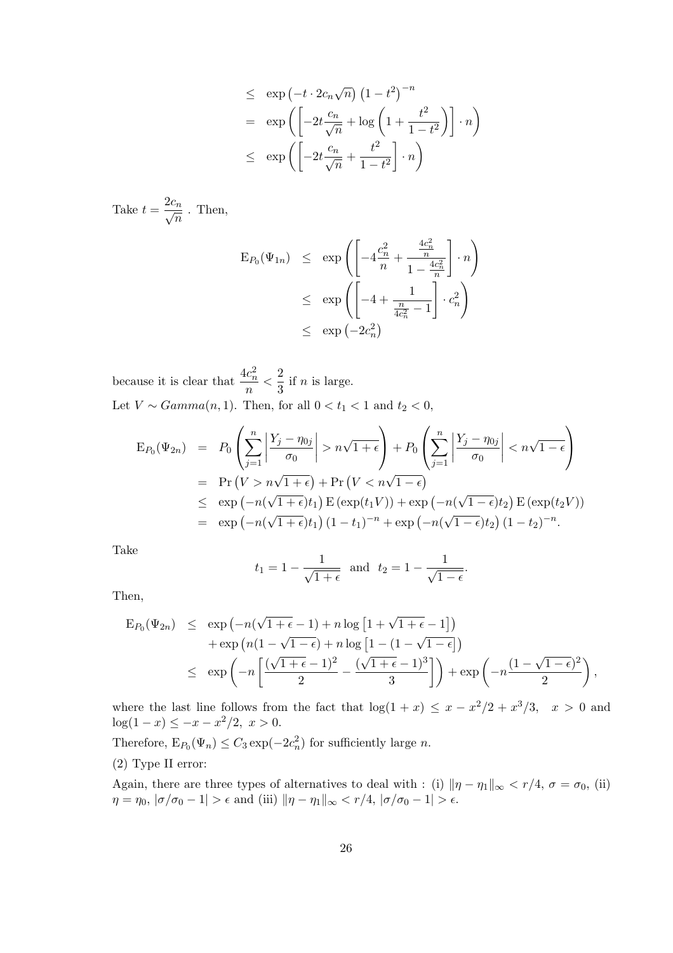$$
\leq \exp(-t \cdot 2c_n \sqrt{n}) (1-t^2)^{-n}
$$
  
= 
$$
\exp\left(-2t \frac{c_n}{\sqrt{n}} + \log\left(1 + \frac{t^2}{1-t^2}\right)\right] \cdot n\right)
$$
  

$$
\leq \exp\left(\left[-2t \frac{c_n}{\sqrt{n}} + \frac{t^2}{1-t^2}\right] \cdot n\right)
$$

Take  $t = \frac{2c_n}{\sqrt{n}}$ . Then,

$$
E_{P_0}(\Psi_{1n}) \leq \exp\left(\left[-4\frac{c_n^2}{n} + \frac{\frac{4c_n^2}{n}}{1 - \frac{4c_n^2}{n}}\right] \cdot n\right)
$$
  

$$
\leq \exp\left(\left[-4 + \frac{1}{\frac{n}{4c_n^2} - 1}\right] \cdot c_n^2\right)
$$
  

$$
\leq \exp(-2c_n^2)
$$

because it is clear that  $\frac{4c_n^2}{2}$  $\frac{c_n^2}{n} < \frac{2}{3}$  $\frac{2}{3}$  if *n* is large. Let  $V \sim Gamma(n, 1)$ . Then, for all  $0 < t_1 < 1$  and  $t_2 < 0$ ,

$$
E_{P_0}(\Psi_{2n}) = P_0\left(\sum_{j=1}^n \left|\frac{Y_j - \eta_{0j}}{\sigma_0}\right| > n\sqrt{1+\epsilon}\right) + P_0\left(\sum_{j=1}^n \left|\frac{Y_j - \eta_{0j}}{\sigma_0}\right| < n\sqrt{1-\epsilon}\right)
$$
  
\n
$$
= Pr\left(V > n\sqrt{1+\epsilon}\right) + Pr\left(V < n\sqrt{1-\epsilon}\right)
$$
  
\n
$$
\leq \exp\left(-n(\sqrt{1+\epsilon})t_1\right) E\left(\exp(t_1V)\right) + \exp\left(-n(\sqrt{1-\epsilon})t_2\right) E\left(\exp(t_2V)\right)
$$
  
\n
$$
= \exp\left(-n(\sqrt{1+\epsilon})t_1\right)(1-t_1)^{-n} + \exp\left(-n(\sqrt{1-\epsilon})t_2\right)(1-t_2)^{-n}.
$$

Take

$$
t_1 = 1 - \frac{1}{\sqrt{1+\epsilon}}
$$
 and  $t_2 = 1 - \frac{1}{\sqrt{1-\epsilon}}$ .

Then,

$$
E_{P_0}(\Psi_{2n}) \le \exp\left(-n(\sqrt{1+\epsilon}-1) + n\log\left[1+\sqrt{1+\epsilon}-1\right]\right) + \exp\left(n(1-\sqrt{1-\epsilon}) + n\log\left[1-(1-\sqrt{1-\epsilon})\right]\right) \le \exp\left(-n\left[\frac{(\sqrt{1+\epsilon}-1)^2}{2} - \frac{(\sqrt{1+\epsilon}-1)^3}{3}\right]\right) + \exp\left(-n\frac{(1-\sqrt{1-\epsilon})^2}{2}\right),
$$

where the last line follows from the fact that  $\log(1+x) \leq x - x^2/2 + x^3/3$ ,  $x > 0$  and  $\log(1-x) \leq -x - x^2/2, \ x > 0.$ 

Therefore,  $E_{P_0}(\Psi_n) \leq C_3 \exp(-2c_n^2)$  for sufficiently large n.

(2) Type II error:

Again, there are three types of alternatives to deal with : (i)  $\|\eta - \eta_1\|_{\infty} < r/4$ ,  $\sigma = \sigma_0$ , (ii)  $\eta = \eta_0, |\sigma/\sigma_0 - 1| > \epsilon$  and (iii)  $\|\eta - \eta_1\|_{\infty} < r/4, |\sigma/\sigma_0 - 1| > \epsilon$ .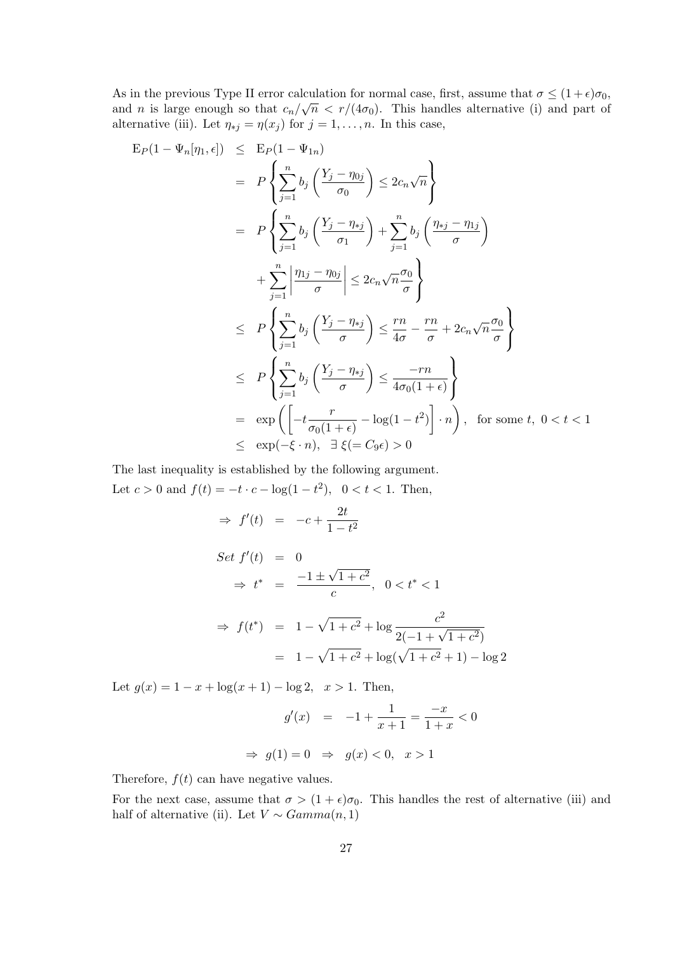As in the previous Type II error calculation for normal case, first, assume that  $\sigma \leq (1+\epsilon)\sigma_0$ , and *n* is large enough so that  $c_n/\sqrt{n} < r/(4\sigma_0)$ . This handles alternative (i) and part of alternative (iii). Let  $\eta_{*j} = \eta(x_j)$  for  $j = 1, ..., n$ . In this case,

$$
E_P(1 - \Psi_n[\eta_1, \epsilon]) \leq E_P(1 - \Psi_{1n})
$$
  
\n
$$
= P\left\{\sum_{j=1}^n b_j \left(\frac{Y_j - \eta_{0j}}{\sigma_0}\right) \leq 2c_n\sqrt{n}\right\}
$$
  
\n
$$
= P\left\{\sum_{j=1}^n b_j \left(\frac{Y_j - \eta_{*j}}{\sigma_1}\right) + \sum_{j=1}^n b_j \left(\frac{\eta_{*j} - \eta_{1j}}{\sigma}\right) + \sum_{j=1}^n \left|\frac{\eta_{1j} - \eta_{0j}}{\sigma}\right| \leq 2c_n\sqrt{n}\frac{\sigma_0}{\sigma}\right\}
$$
  
\n
$$
\leq P\left\{\sum_{j=1}^n b_j \left(\frac{Y_j - \eta_{*j}}{\sigma}\right) \leq \frac{rn}{4\sigma} - \frac{rn}{\sigma} + 2c_n\sqrt{n}\frac{\sigma_0}{\sigma}\right\}
$$
  
\n
$$
\leq P\left\{\sum_{j=1}^n b_j \left(\frac{Y_j - \eta_{*j}}{\sigma}\right) \leq \frac{-rn}{4\sigma_0(1 + \epsilon)}\right\}
$$
  
\n
$$
= \exp\left(\left[-t\frac{r}{\sigma_0(1 + \epsilon)} - \log(1 - t^2)\right] \cdot n\right), \text{ for some } t, 0 < t < 1
$$
  
\n
$$
\leq \exp(-\xi \cdot n), \quad \exists \xi (= C_9 \epsilon) > 0
$$

The last inequality is established by the following argument. Let  $c > 0$  and  $f(t) = -t \cdot c - \log(1 - t^2)$ ,  $0 < t < 1$ . Then,

$$
\Rightarrow f'(t) = -c + \frac{2t}{1 - t^2}
$$

Set 
$$
f'(t) = 0
$$
  
\n $\Rightarrow t^* = \frac{-1 \pm \sqrt{1 + c^2}}{c}, \quad 0 < t^* < 1$   
\n $\Rightarrow f(t^*) = 1 - \sqrt{1 + c^2} + \log \frac{c^2}{2(-1 + \sqrt{1 + c^2})}$   
\n $= 1 - \sqrt{1 + c^2} + \log(\sqrt{1 + c^2} + 1) - \log 2$ 

 $= 1 -$ 

Let  $g(x) = 1 - x + \log(x + 1) - \log 2$ ,  $x > 1$ . Then,

$$
g'(x) = -1 + \frac{1}{x+1} = \frac{-x}{1+x} < 0
$$

$$
\Rightarrow g(1) = 0 \Rightarrow g(x) < 0, \quad x > 1
$$

Therefore,  $f(t)$  can have negative values.

For the next case, assume that  $\sigma > (1 + \epsilon)\sigma_0$ . This handles the rest of alternative (iii) and half of alternative (ii). Let  $V \sim Gamma(n, 1)$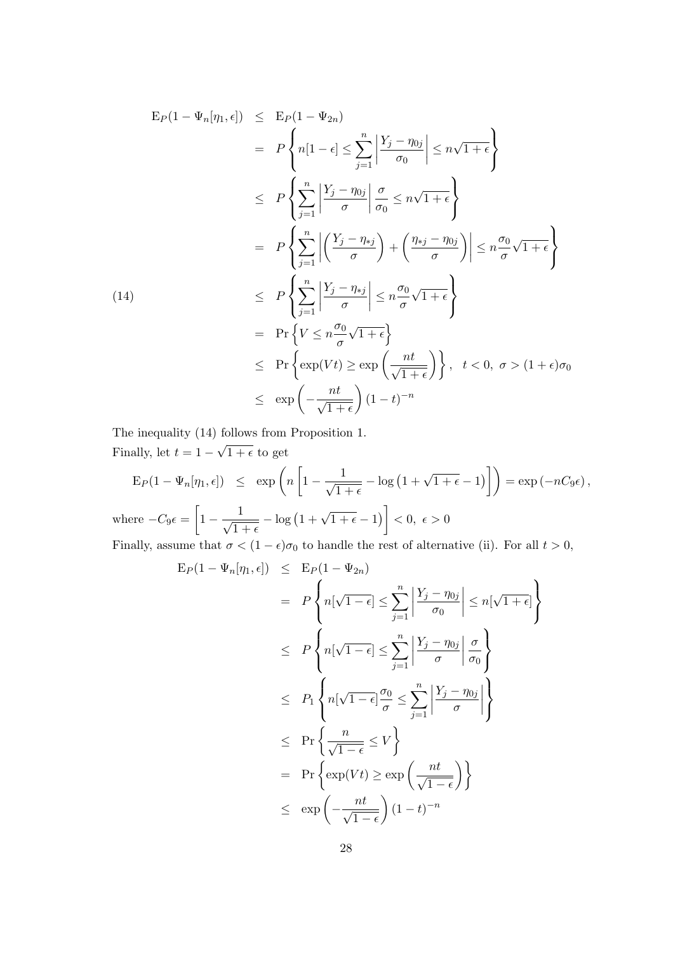$$
E_P(1 - \Psi_n[\eta_1, \epsilon]) \leq E_P(1 - \Psi_{2n})
$$
  
\n
$$
= P\left\{ n[1 - \epsilon] \leq \sum_{j=1}^n \left| \frac{Y_j - \eta_{0j}}{\sigma_0} \right| \leq n\sqrt{1 + \epsilon} \right\}
$$
  
\n
$$
\leq P\left\{ \sum_{j=1}^n \left| \frac{Y_j - \eta_{0j}}{\sigma} \right| \frac{\sigma}{\sigma_0} \leq n\sqrt{1 + \epsilon} \right\}
$$
  
\n
$$
= P\left\{ \sum_{j=1}^n \left| \left( \frac{Y_j - \eta_{*j}}{\sigma} \right) + \left( \frac{\eta_{*j} - \eta_{0j}}{\sigma} \right) \right| \leq n \frac{\sigma_0}{\sigma} \sqrt{1 + \epsilon} \right\}
$$
  
\n
$$
\leq P\left\{ \sum_{j=1}^n \left| \frac{Y_j - \eta_{*j}}{\sigma} \right| \leq n \frac{\sigma_0}{\sigma} \sqrt{1 + \epsilon} \right\}
$$
  
\n
$$
= \Pr\left\{ V \leq n \frac{\sigma_0}{\sigma} \sqrt{1 + \epsilon} \right\}
$$
  
\n
$$
\leq \Pr\left\{ \exp(Vt) \geq \exp\left( \frac{nt}{\sqrt{1 + \epsilon}} \right) \right\}, \quad t < 0, \quad \sigma > (1 + \epsilon)\sigma_0
$$
  
\n
$$
\leq \exp\left( -\frac{nt}{\sqrt{1 + \epsilon}} \right) (1 - t)^{-n}
$$

The inequality (14) follows from Proposition 1. Finally, let  $t = 1 -$ √  $1 + \epsilon$  to get

$$
\mathcal{E}_P(1 - \Psi_n[\eta_1, \epsilon]) \le \exp\left(n\left[1 - \frac{1}{\sqrt{1+\epsilon}} - \log\left(1 + \sqrt{1+\epsilon} - 1\right)\right]\right) = \exp(-nC_9\epsilon),
$$
  
where  $-C_9\epsilon = \left[1 - \frac{1}{\sqrt{1+\epsilon}} - \log\left(1 + \sqrt{1+\epsilon} - 1\right)\right] < 0, \epsilon > 0$   
Finally, assume that  $\sigma < (1-\epsilon)\sigma_0$  to handle the rest of alternative (ii). For all  $t > 0$ ,

$$
E_P(1 - \Psi_n[\eta_1, \epsilon]) \leq E_P(1 - \Psi_{2n})
$$
  
\n
$$
= P\left\{ n[\sqrt{1 - \epsilon}] \leq \sum_{j=1}^n \left| \frac{Y_j - \eta_{0j}}{\sigma_0} \right| \leq n[\sqrt{1 + \epsilon}] \right\}
$$
  
\n
$$
\leq P\left\{ n[\sqrt{1 - \epsilon}] \leq \sum_{j=1}^n \left| \frac{Y_j - \eta_{0j}}{\sigma} \right| \frac{\sigma}{\sigma_0} \right\}
$$
  
\n
$$
\leq P_1 \left\{ n[\sqrt{1 - \epsilon}] \frac{\sigma_0}{\sigma} \leq \sum_{j=1}^n \left| \frac{Y_j - \eta_{0j}}{\sigma} \right| \right\}
$$
  
\n
$$
\leq Pr \left\{ \frac{n}{\sqrt{1 - \epsilon}} \leq V \right\}
$$
  
\n
$$
= Pr \left\{ \exp(Vt) \geq \exp\left(\frac{nt}{\sqrt{1 - \epsilon}}\right) \right\}
$$
  
\n
$$
\leq \exp\left(-\frac{nt}{\sqrt{1 - \epsilon}}\right)(1 - t)^{-n}
$$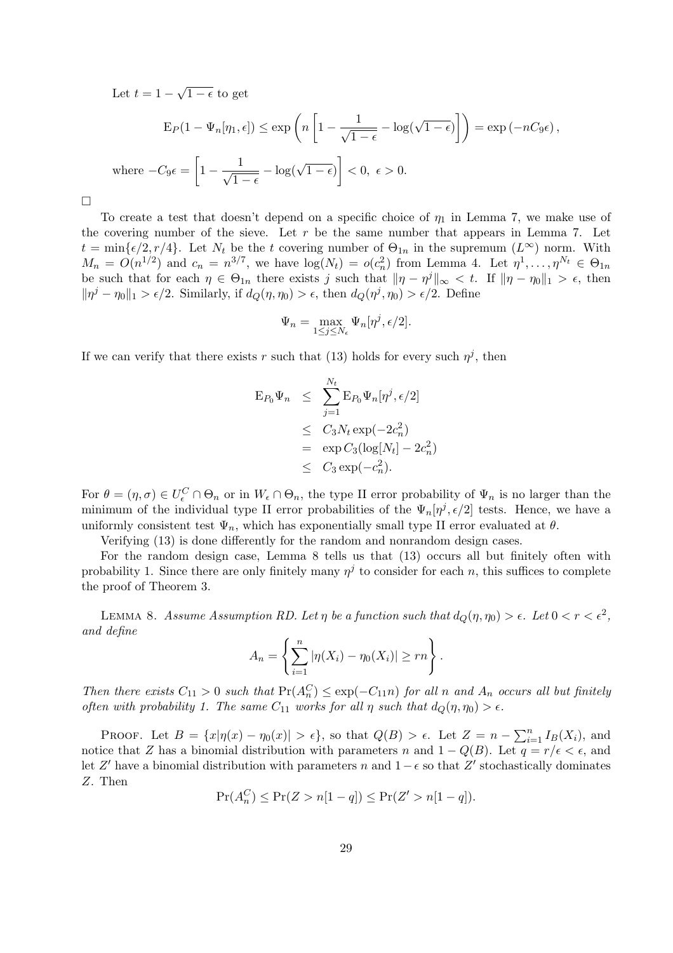Let  $t = 1 -$ √  $\overline{1-\epsilon}$  to get

$$
\mathcal{E}_P(1 - \Psi_n[\eta_1, \epsilon]) \le \exp\left(n\left[1 - \frac{1}{\sqrt{1 - \epsilon}} - \log(\sqrt{1 - \epsilon})\right]\right) = \exp(-nC_9\epsilon),
$$
  
where 
$$
-C_9\epsilon = \left[1 - \frac{1}{\sqrt{1 - \epsilon}} - \log(\sqrt{1 - \epsilon})\right] < 0, \ \epsilon > 0.
$$

 $\Box$ 

To create a test that doesn't depend on a specific choice of  $\eta_1$  in Lemma 7, we make use of the covering number of the sieve. Let  $r$  be the same number that appears in Lemma 7. Let  $t = \min\{\epsilon/2, r/4\}$ . Let  $N_t$  be the t covering number of  $\Theta_{1n}$  in the supremum  $(L^{\infty})$  norm. With  $M_n = O(n^{1/2})$  and  $c_n = n^{3/7}$ , we have  $\log(N_t) = o(c_n^2)$  from Lemma 4. Let  $\eta^1, \ldots, \eta^{N_t} \in \Theta_{1n}$ be such that for each  $\eta \in \Theta_{1n}$  there exists j such that  $\|\eta - \eta^j\|_{\infty} < t$ . If  $\|\eta - \eta_0\|_{1} > \epsilon$ , then  $\|\eta^{j}-\eta_{0}\|_{1} > \epsilon/2$ . Similarly, if  $d_{Q}(\eta,\eta_{0}) > \epsilon$ , then  $d_{Q}(\eta^{j},\eta_{0}) > \epsilon/2$ . Define

$$
\Psi_n=\max_{1\leq j\leq N_\epsilon}\Psi_n[\eta^j,\epsilon/2].
$$

If we can verify that there exists r such that (13) holds for every such  $\eta^j$ , then

$$
E_{P_0}\Psi_n \leq \sum_{j=1}^{N_t} E_{P_0}\Psi_n[\eta^j, \epsilon/2]
$$
  
\n
$$
\leq C_3 N_t \exp(-2c_n^2)
$$
  
\n
$$
= \exp C_3(\log[N_t] - 2c_n^2)
$$
  
\n
$$
\leq C_3 \exp(-c_n^2).
$$

For  $\theta = (\eta, \sigma) \in U_{\epsilon}^C \cap \Theta_n$  or in  $W_{\epsilon} \cap \Theta_n$ , the type II error probability of  $\Psi_n$  is no larger than the minimum of the individual type II error probabilities of the  $\Psi_n[\eta^j, \epsilon/2]$  tests. Hence, we have a uniformly consistent test  $\Psi_n$ , which has exponentially small type II error evaluated at  $\theta$ .

Verifying (13) is done differently for the random and nonrandom design cases.

For the random design case, Lemma 8 tells us that (13) occurs all but finitely often with probability 1. Since there are only finitely many  $\eta^j$  to consider for each n, this suffices to complete the proof of Theorem 3.

LEMMA 8. Assume Assumption RD. Let  $\eta$  be a function such that  $d_Q(\eta, \eta_0) > \epsilon$ . Let  $0 < r < \epsilon^2$ , and define

$$
A_n = \left\{ \sum_{i=1}^n |\eta(X_i) - \eta_0(X_i)| \geq rn \right\}.
$$

Then there exists  $C_{11} > 0$  such that  $Pr(A_n^C) \leq exp(-C_{11}n)$  for all n and  $A_n$  occurs all but finitely often with probability 1. The same  $C_{11}$  works for all  $\eta$  such that  $d_O(\eta, \eta_0) > \epsilon$ .

PROOF. Let  $B = \{x|\eta(x) - \eta_0(x)| > \epsilon\}$ , so that  $Q(B) > \epsilon$ . Let  $Z = n - \sum_{i=1}^n Z_i$ .  $_{i=1}^n I_B(X_i)$ , and notice that Z has a binomial distribution with parameters n and  $1 - Q(B)$ . Let  $q = r/\epsilon < \epsilon$ , and let Z' have a binomial distribution with parameters n and  $1-\epsilon$  so that Z' stochastically dominates Z. Then

$$
\Pr(A_n^C) \le \Pr(Z > n[1 - q]) \le \Pr(Z' > n[1 - q]).
$$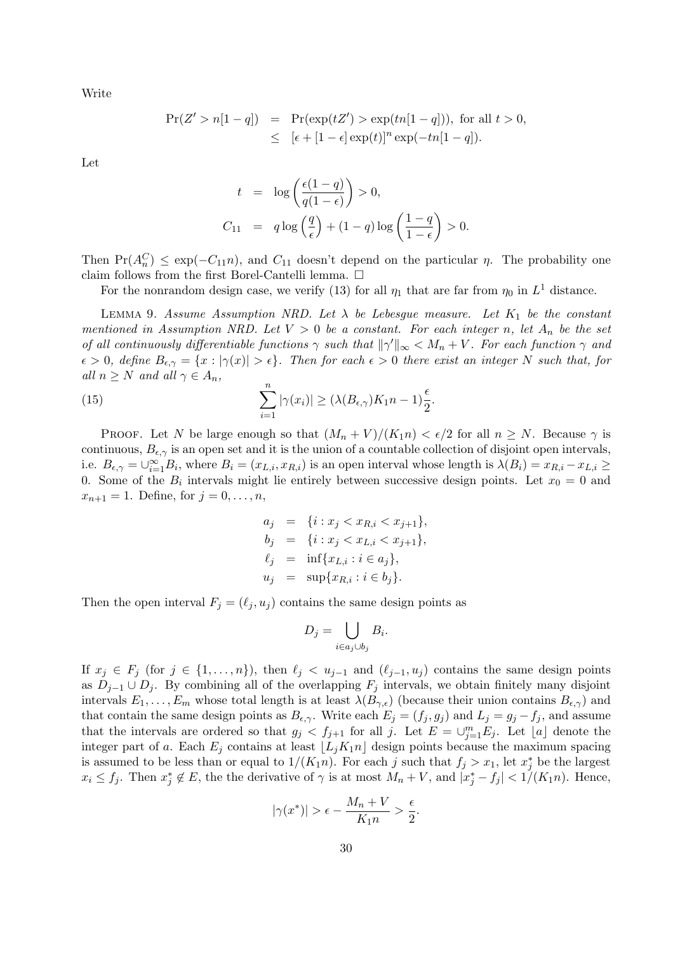Write

$$
\Pr(Z' > n[1 - q]) = \Pr(\exp(tZ') > \exp(tn[1 - q])), \text{ for all } t > 0, \\ \leq [\epsilon + [1 - \epsilon] \exp(t)]^n \exp(-tn[1 - q]).
$$

Let

$$
t = \log\left(\frac{\epsilon(1-q)}{q(1-\epsilon)}\right) > 0,
$$
  
\n
$$
C_{11} = q \log\left(\frac{q}{\epsilon}\right) + (1-q) \log\left(\frac{1-q}{1-\epsilon}\right) > 0.
$$

Then  $Pr(A_n^C) \leq exp(-C_{11}n)$ , and  $C_{11}$  doesn't depend on the particular  $\eta$ . The probability one claim follows from the first Borel-Cantelli lemma.  $\Box$ 

For the nonrandom design case, we verify (13) for all  $\eta_1$  that are far from  $\eta_0$  in  $L^1$  distance.

LEMMA 9. Assume Assumption NRD. Let  $\lambda$  be Lebesgue measure. Let  $K_1$  be the constant mentioned in Assumption NRD. Let  $V > 0$  be a constant. For each integer n, let  $A_n$  be the set of all continuously differentiable functions  $\gamma$  such that  $\|\gamma'\|_{\infty} < M_n + V$ . For each function  $\gamma$  and  $\epsilon > 0$ , define  $B_{\epsilon,\gamma} = \{x : |\gamma(x)| > \epsilon\}$ . Then for each  $\epsilon > 0$  there exist an integer N such that, for all  $n \geq N$  and all  $\gamma \in A_n$ ,

(15) 
$$
\sum_{i=1}^{n} |\gamma(x_i)| \ge (\lambda(B_{\epsilon,\gamma})K_1n - 1)\frac{\epsilon}{2}.
$$

**PROOF.** Let N be large enough so that  $(M_n + V)/(K_1 n) < \epsilon/2$  for all  $n \geq N$ . Because  $\gamma$  is continuous,  $B_{\epsilon,\gamma}$  is an open set and it is the union of a countable collection of disjoint open intervals, i.e.  $B_{\epsilon,\gamma} = \bigcup_{i=1}^{\infty} B_i$ , where  $B_i = (x_{L,i}, x_{R,i})$  is an open interval whose length is  $\lambda(B_i) = x_{R,i} - x_{L,i} \geq$ 0. Some of the  $B_i$  intervals might lie entirely between successive design points. Let  $x_0 = 0$  and  $x_{n+1} = 1$ . Define, for  $j = 0, ..., n$ ,

$$
a_j = \{i : x_j < x_{R,i} < x_{j+1}\},
$$
\n
$$
b_j = \{i : x_j < x_{L,i} < x_{j+1}\},
$$
\n
$$
\ell_j = \inf\{x_{L,i} : i \in a_j\},
$$
\n
$$
u_j = \sup\{x_{R,i} : i \in b_j\}.
$$

Then the open interval  $F_j = (\ell_j , u_j)$  contains the same design points as

$$
D_j = \bigcup_{i \in a_j \cup b_j} B_i
$$

.

If  $x_j \in F_j$  (for  $j \in \{1, \ldots, n\}$ ), then  $\ell_j < u_{j-1}$  and  $(\ell_{j-1}, u_j)$  contains the same design points as  $D_{j-1} \cup D_j$ . By combining all of the overlapping  $F_j$  intervals, we obtain finitely many disjoint intervals  $E_1, \ldots, E_m$  whose total length is at least  $\lambda(B_{\gamma,\epsilon})$  (because their union contains  $B_{\epsilon,\gamma}$ ) and that contain the same design points as  $B_{\epsilon,\gamma}$ . Write each  $E_j = (f_j, g_j)$  and  $L_j = g_j - f_j$ , and assume that the intervals are ordered so that  $g_j < f_{j+1}$  for all j. Let  $E = \cup_{j=1}^m E_j$ . Let  $[a]$  denote the integer part of a. Each  $E_j$  contains at least  $\lfloor L_j K_1 n \rfloor$  design points because the maximum spacing is assumed to be less than or equal to  $1/(K_1 n)$ . For each j such that  $f_j > x_1$ , let  $x_j^*$  be the largest  $x_i \le f_j$ . Then  $x_j^* \notin E$ , the the derivative of  $\gamma$  is at most  $M_n + V$ , and  $|x_j^* - f_j| < 1/(K_1 n)$ . Hence,

$$
|\gamma(x^*)| > \epsilon - \frac{M_n + V}{K_1 n} > \frac{\epsilon}{2}.
$$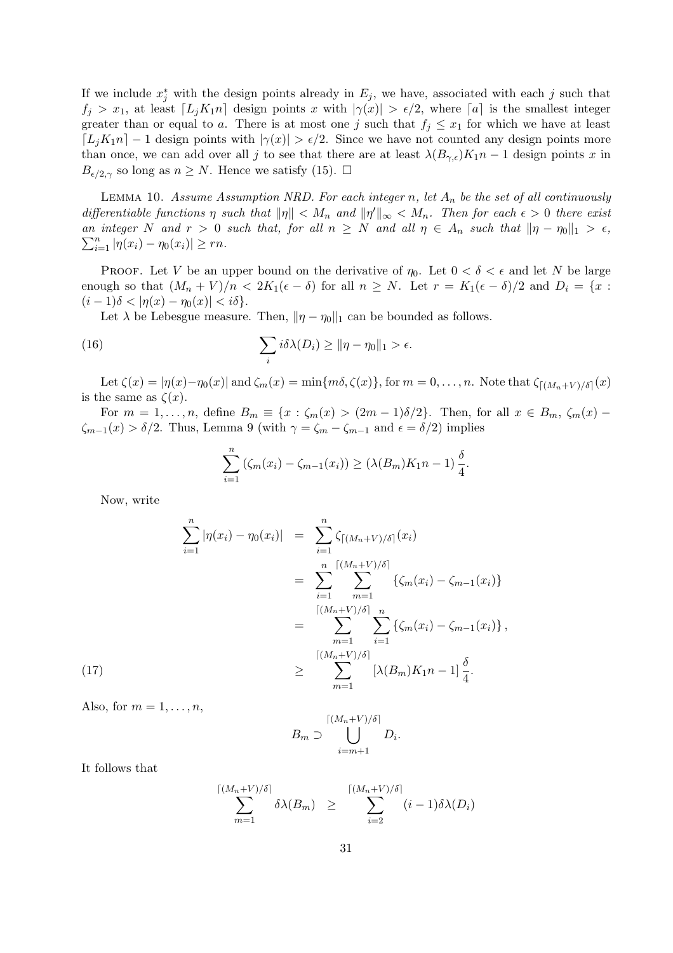If we include  $x_j^*$  with the design points already in  $E_j$ , we have, associated with each j such that  $f_j > x_1$ , at least  $[L_jK_1n]$  design points x with  $|\gamma(x)| > \epsilon/2$ , where  $[a]$  is the smallest integer greater than or equal to a. There is at most one j such that  $f_j \leq x_1$  for which we have at least  $[L_jK_1n] - 1$  design points with  $|\gamma(x)| > \epsilon/2$ . Since we have not counted any design points more than once, we can add over all j to see that there are at least  $\lambda(B_{\gamma,\epsilon})K_1n-1$  design points x in  $B_{\epsilon/2,\gamma}$  so long as  $n \geq N$ . Hence we satisfy (15).  $\Box$ 

LEMMA 10. Assume Assumption NRD. For each integer n, let  $A_n$  be the set of all continuously differentiable functions  $\eta$  such that  $\|\eta\| < M_n$  and  $\|\eta'\|_{\infty} < M_n$ . Then for each  $\epsilon > 0$  there exist an integer N and  $r > 0$  such that, for all  $n \geq N$  and all  $\eta \in A_n$  such that  $\|\eta - \eta_0\|_1 > \epsilon$ ,  $\sum_{i=1}^n |\eta(x_i) - \eta_0(x_i)| \geq rn.$ 

PROOF. Let V be an upper bound on the derivative of  $\eta_0$ . Let  $0 < \delta < \epsilon$  and let N be large enough so that  $(M_n + V)/n < 2K_1(\epsilon - \delta)$  for all  $n \geq N$ . Let  $r = K_1(\epsilon - \delta)/2$  and  $D_i = \{x :$  $(i - 1)\delta < |\eta(x) - \eta_0(x)| < i\delta$ .

Let  $\lambda$  be Lebesgue measure. Then,  $\|\eta - \eta_0\|_1$  can be bounded as follows.

(16) 
$$
\sum_{i} i \delta \lambda(D_i) \geq ||\eta - \eta_0||_1 > \epsilon.
$$

Let  $\zeta(x) = |\eta(x) - \eta_0(x)|$  and  $\zeta_m(x) = \min\{m\delta, \zeta(x)\}\$ , for  $m = 0, \ldots, n$ . Note that  $\zeta_{\lceil (M_n + V)/\delta \rceil}(x)$ is the same as  $\zeta(x)$ .

For  $m = 1, \ldots, n$ , define  $B_m \equiv \{x : \zeta_m(x) > (2m-1)\delta/2\}$ . Then, for all  $x \in B_m$ ,  $\zeta_m(x)$  $\zeta_{m-1}(x) > \delta/2$ . Thus, Lemma 9 (with  $\gamma = \zeta_m - \zeta_{m-1}$  and  $\epsilon = \delta/2$ ) implies

$$
\sum_{i=1}^{n} (\zeta_m(x_i) - \zeta_{m-1}(x_i)) \ge (\lambda(B_m)K_1n - 1)\frac{\delta}{4}.
$$

Now, write

$$
\sum_{i=1}^{n} |\eta(x_i) - \eta_0(x_i)| = \sum_{i=1}^{n} \zeta_{\lceil (M_n + V)/\delta \rceil}(x_i)
$$
  
\n
$$
= \sum_{i=1}^{n} \sum_{m=1}^{\lceil (M_n + V)/\delta \rceil} \{ \zeta_m(x_i) - \zeta_{m-1}(x_i) \}
$$
  
\n
$$
= \sum_{m=1}^{\lceil (M_n + V)/\delta \rceil} \sum_{i=1}^{n} \{ \zeta_m(x_i) - \zeta_{m-1}(x_i) \},
$$
  
\n(17)  
\n
$$
\geq \sum_{m=1}^{\lceil (M_n + V)/\delta \rceil} [\lambda(B_m)K_1 n - 1] \frac{\delta}{4}.
$$

Also, for  $m = 1, \ldots, n$ ,

$$
B_m \supset \bigcup_{i=m+1}^{\lceil (M_n+V)/\delta \rceil} D_i.
$$

It follows that

$$
\sum_{m=1}^{\lceil (M_n+V)/\delta \rceil} \delta \lambda(B_m) \ge \sum_{i=2}^{\lceil (M_n+V)/\delta \rceil} (i-1) \delta \lambda(D_i)
$$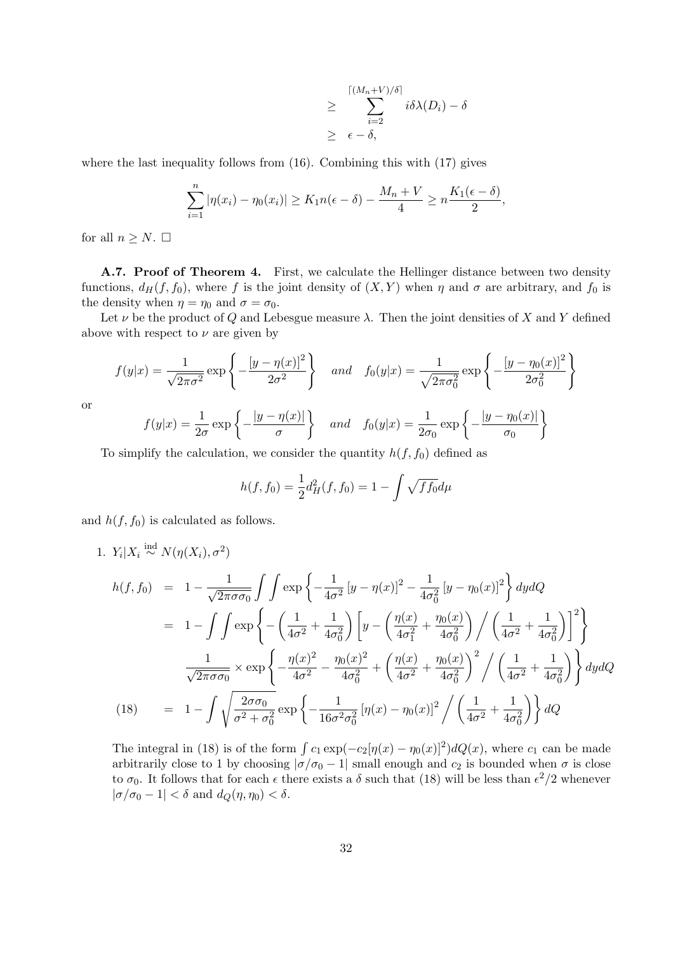$$
\geq \sum_{i=2}^{\lceil (M_n + V)/\delta \rceil} i \delta \lambda(D_i) - \delta
$$
  
 
$$
\geq \epsilon - \delta,
$$

where the last inequality follows from  $(16)$ . Combining this with  $(17)$  gives

$$
\sum_{i=1}^{n} |\eta(x_i) - \eta_0(x_i)| \ge K_1 n(\epsilon - \delta) - \frac{M_n + V}{4} \ge n \frac{K_1(\epsilon - \delta)}{2},
$$

for all  $n \geq N$ .  $\Box$ 

A.7. Proof of Theorem 4. First, we calculate the Hellinger distance between two density functions,  $d_H(f, f_0)$ , where f is the joint density of  $(X, Y)$  when  $\eta$  and  $\sigma$  are arbitrary, and  $f_0$  is the density when  $\eta = \eta_0$  and  $\sigma = \sigma_0$ .

Let  $\nu$  be the product of Q and Lebesgue measure  $\lambda$ . Then the joint densities of X and Y defined above with respect to  $\nu$  are given by

$$
f(y|x) = \frac{1}{\sqrt{2\pi\sigma^2}} \exp\left\{-\frac{[y-\eta(x)]^2}{2\sigma^2}\right\} \quad and \quad f_0(y|x) = \frac{1}{\sqrt{2\pi\sigma_0^2}} \exp\left\{-\frac{[y-\eta_0(x)]^2}{2\sigma_0^2}\right\}
$$

or

$$
f(y|x) = \frac{1}{2\sigma} \exp\left\{-\frac{|y - \eta(x)|}{\sigma}\right\} \quad and \quad f_0(y|x) = \frac{1}{2\sigma_0} \exp\left\{-\frac{|y - \eta_0(x)|}{\sigma_0}\right\}
$$

To simplify the calculation, we consider the quantity  $h(f, f_0)$  defined as

$$
h(f, f_0) = \frac{1}{2}d_H^2(f, f_0) = 1 - \int \sqrt{f f_0} d\mu
$$

and  $h(f, f_0)$  is calculated as follows.

1. 
$$
Y_i|X_i \stackrel{\text{ind}}{\sim} N(\eta(X_i), \sigma^2)
$$
  
\n
$$
h(f, f_0) = 1 - \frac{1}{\sqrt{2\pi\sigma\sigma_0}} \int \int \exp\left\{-\frac{1}{4\sigma^2} \left[y - \eta(x)\right]^2 - \frac{1}{4\sigma_0^2} \left[y - \eta_0(x)\right]^2\right\} dy dQ
$$
\n
$$
= 1 - \int \int \exp\left\{-\left(\frac{1}{4\sigma^2} + \frac{1}{4\sigma_0^2}\right) \left[y - \left(\frac{\eta(x)}{4\sigma_1^2} + \frac{\eta_0(x)}{4\sigma_0^2}\right) / \left(\frac{1}{4\sigma^2} + \frac{1}{4\sigma_0^2}\right)\right]^2\right\}
$$
\n
$$
\frac{1}{\sqrt{2\pi\sigma\sigma_0}} \times \exp\left\{-\frac{\eta(x)^2}{4\sigma^2} - \frac{\eta_0(x)^2}{4\sigma_0^2} + \left(\frac{\eta(x)}{4\sigma^2} + \frac{\eta_0(x)}{4\sigma_0^2}\right)^2 / \left(\frac{1}{4\sigma^2} + \frac{1}{4\sigma_0^2}\right)\right\} dy dQ
$$
\n(18) 
$$
= 1 - \int \sqrt{\frac{2\sigma\sigma_0}{\sigma^2 + \sigma_0^2}} \exp\left\{-\frac{1}{16\sigma^2\sigma_0^2} \left[\eta(x) - \eta_0(x)\right]^2 / \left(\frac{1}{4\sigma^2} + \frac{1}{4\sigma_0^2}\right)\right\} dQ
$$

The integral in (18) is of the form  $\int c_1 \exp(-c_2[\eta(x) - \eta_0(x)]^2) dQ(x)$ , where  $c_1$  can be made arbitrarily close to 1 by choosing  $|\sigma/\sigma_0 - 1|$  small enough and  $c_2$  is bounded when  $\sigma$  is close to  $\sigma_0$ . It follows that for each  $\epsilon$  there exists a  $\delta$  such that (18) will be less than  $\epsilon^2/2$  whenever  $|\sigma/\sigma_0 - 1| < \delta$  and  $d_Q(\eta, \eta_0) < \delta$ .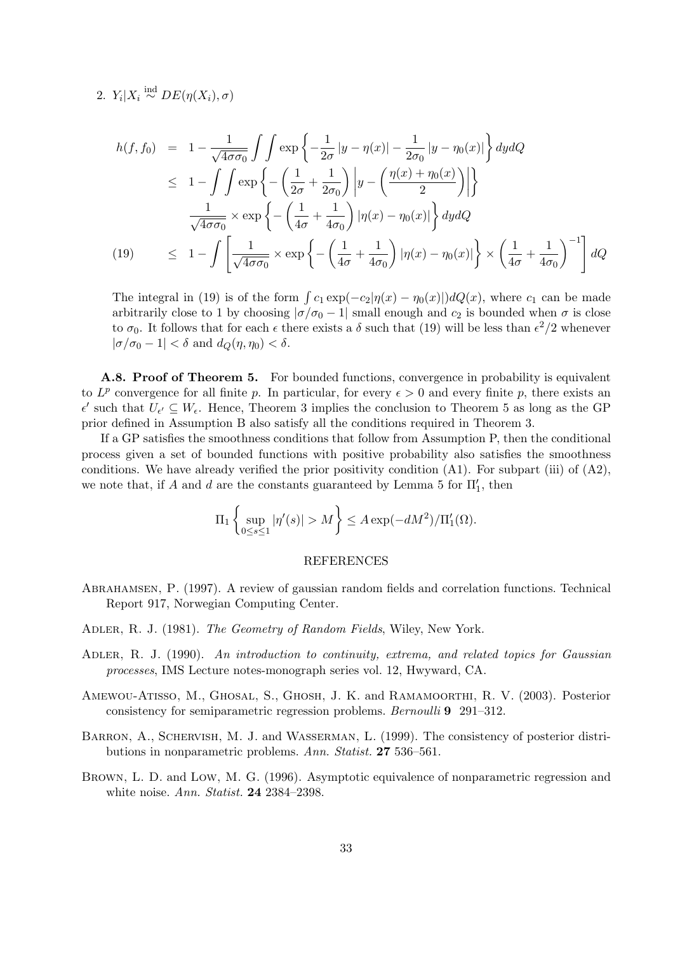2.  $Y_i | X_i \stackrel{\text{ind}}{\sim} DE(\eta(X_i), \sigma)$ 

$$
h(f, f_0) = 1 - \frac{1}{\sqrt{4\sigma\sigma_0}} \int \int \exp\left\{-\frac{1}{2\sigma} |y - \eta(x)| - \frac{1}{2\sigma_0} |y - \eta_0(x)|\right\} dy dQ
$$
  
\n
$$
\leq 1 - \int \int \exp\left\{-\left(\frac{1}{2\sigma} + \frac{1}{2\sigma_0}\right) |y - \left(\frac{\eta(x) + \eta_0(x)}{2}\right)|\right\}
$$
  
\n
$$
\frac{1}{\sqrt{4\sigma\sigma_0}} \times \exp\left\{-\left(\frac{1}{4\sigma} + \frac{1}{4\sigma_0}\right) |\eta(x) - \eta_0(x)|\right\} dy dQ
$$
  
\n(19) 
$$
\leq 1 - \int \left[\frac{1}{\sqrt{4\sigma\sigma_0}} \times \exp\left\{-\left(\frac{1}{4\sigma} + \frac{1}{4\sigma_0}\right) |\eta(x) - \eta_0(x)|\right\} \times \left(\frac{1}{4\sigma} + \frac{1}{4\sigma_0}\right)^{-1}\right] dQ
$$

The integral in (19) is of the form  $\int c_1 \exp(-c_2|\eta(x) - \eta_0(x)|)dQ(x)$ , where  $c_1$  can be made arbitrarily close to 1 by choosing  $|\sigma/\sigma_0 - 1|$  small enough and  $c_2$  is bounded when  $\sigma$  is close to  $\sigma_0$ . It follows that for each  $\epsilon$  there exists a  $\delta$  such that (19) will be less than  $\epsilon^2/2$  whenever  $|\sigma/\sigma_0 - 1| < \delta$  and  $d_Q(\eta, \eta_0) < \delta$ .

A.8. Proof of Theorem 5. For bounded functions, convergence in probability is equivalent to  $L^p$  convergence for all finite p. In particular, for every  $\epsilon > 0$  and every finite p, there exists an  $\epsilon'$  such that  $U_{\epsilon'} \subseteq W_{\epsilon}$ . Hence, Theorem 3 implies the conclusion to Theorem 5 as long as the GP prior defined in Assumption B also satisfy all the conditions required in Theorem 3.

If a GP satisfies the smoothness conditions that follow from Assumption P, then the conditional process given a set of bounded functions with positive probability also satisfies the smoothness conditions. We have already verified the prior positivity condition  $(A1)$ . For subpart (iii) of  $(A2)$ , we note that, if A and d are the constants guaranteed by Lemma 5 for  $\Pi_1'$ , then

$$
\Pi_1 \left\{ \sup_{0 \le s \le 1} |\eta'(s)| > M \right\} \le A \exp(-dM^2) / \Pi'_1(\Omega).
$$

## REFERENCES

- Abrahamsen, P. (1997). A review of gaussian random fields and correlation functions. Technical Report 917, Norwegian Computing Center.
- ADLER, R. J. (1981). The Geometry of Random Fields, Wiley, New York.
- Adler, R. J. (1990). An introduction to continuity, extrema, and related topics for Gaussian processes, IMS Lecture notes-monograph series vol. 12, Hwyward, CA.
- Amewou-Atisso, M., Ghosal, S., Ghosh, J. K. and Ramamoorthi, R. V. (2003). Posterior consistency for semiparametric regression problems. Bernoulli 9 291–312.
- BARRON, A., SCHERVISH, M. J. and WASSERMAN, L. (1999). The consistency of posterior distributions in nonparametric problems. Ann. Statist. 27 536–561.
- Brown, L. D. and Low, M. G. (1996). Asymptotic equivalence of nonparametric regression and white noise. Ann. Statist. **24** 2384–2398.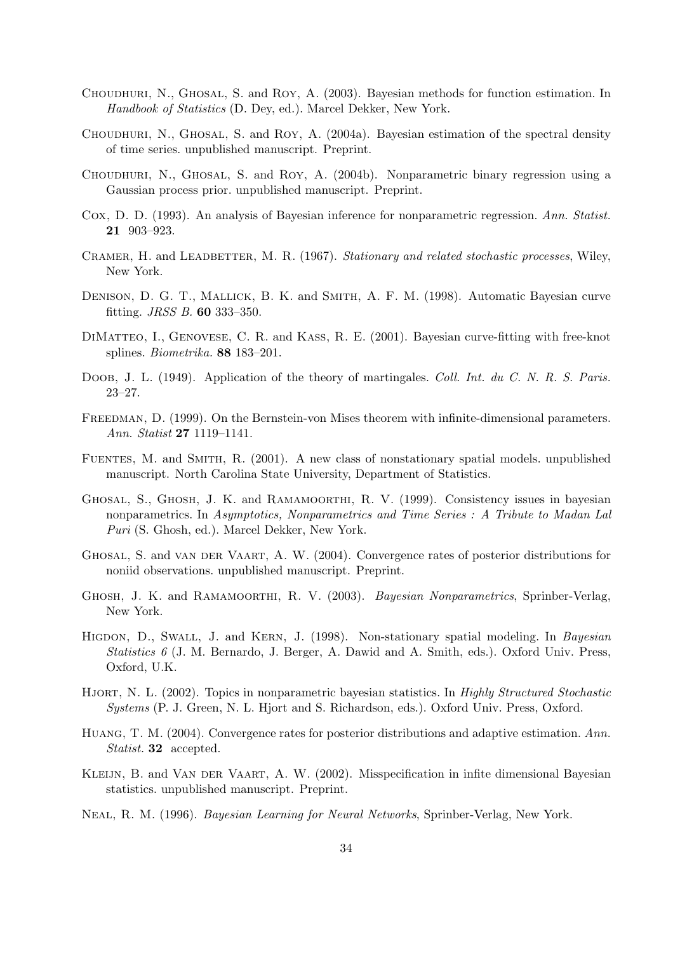- Choudhuri, N., Ghosal, S. and Roy, A. (2003). Bayesian methods for function estimation. In Handbook of Statistics (D. Dey, ed.). Marcel Dekker, New York.
- Choudhuri, N., Ghosal, S. and Roy, A. (2004a). Bayesian estimation of the spectral density of time series. unpublished manuscript. Preprint.
- Choudhuri, N., Ghosal, S. and Roy, A. (2004b). Nonparametric binary regression using a Gaussian process prior. unpublished manuscript. Preprint.
- Cox, D. D. (1993). An analysis of Bayesian inference for nonparametric regression. Ann. Statist. 21 903–923.
- CRAMER, H. and LEADBETTER, M. R. (1967). Stationary and related stochastic processes, Wiley, New York.
- Denison, D. G. T., Mallick, B. K. and Smith, A. F. M. (1998). Automatic Bayesian curve fitting. JRSS B. 60 333–350.
- DIMATTEO, I., GENOVESE, C. R. and KASS, R. E. (2001). Bayesian curve-fitting with free-knot splines. Biometrika. 88 183–201.
- DOOB, J. L. (1949). Application of the theory of martingales. Coll. Int. du C. N. R. S. Paris. 23–27.
- FREEDMAN, D. (1999). On the Bernstein-von Mises theorem with infinite-dimensional parameters. Ann. Statist 27 1119–1141.
- FUENTES, M. and SMITH, R. (2001). A new class of nonstationary spatial models. unpublished manuscript. North Carolina State University, Department of Statistics.
- Ghosal, S., Ghosh, J. K. and Ramamoorthi, R. V. (1999). Consistency issues in bayesian nonparametrics. In Asymptotics, Nonparametrics and Time Series : A Tribute to Madan Lal Puri (S. Ghosh, ed.). Marcel Dekker, New York.
- Ghosal, S. and van der Vaart, A. W. (2004). Convergence rates of posterior distributions for noniid observations. unpublished manuscript. Preprint.
- Ghosh, J. K. and Ramamoorthi, R. V. (2003). Bayesian Nonparametrics, Sprinber-Verlag, New York.
- HIGDON, D., SWALL, J. and KERN, J. (1998). Non-stationary spatial modeling. In Bayesian Statistics 6 (J. M. Bernardo, J. Berger, A. Dawid and A. Smith, eds.). Oxford Univ. Press, Oxford, U.K.
- HJORT, N. L. (2002). Topics in nonparametric bayesian statistics. In Highly Structured Stochastic Systems (P. J. Green, N. L. Hjort and S. Richardson, eds.). Oxford Univ. Press, Oxford.
- Huang, T. M. (2004). Convergence rates for posterior distributions and adaptive estimation. Ann. Statist. 32 accepted.
- KLEIJN, B. and VAN DER VAART, A. W. (2002). Misspecification in infite dimensional Bayesian statistics. unpublished manuscript. Preprint.
- Neal, R. M. (1996). Bayesian Learning for Neural Networks, Sprinber-Verlag, New York.